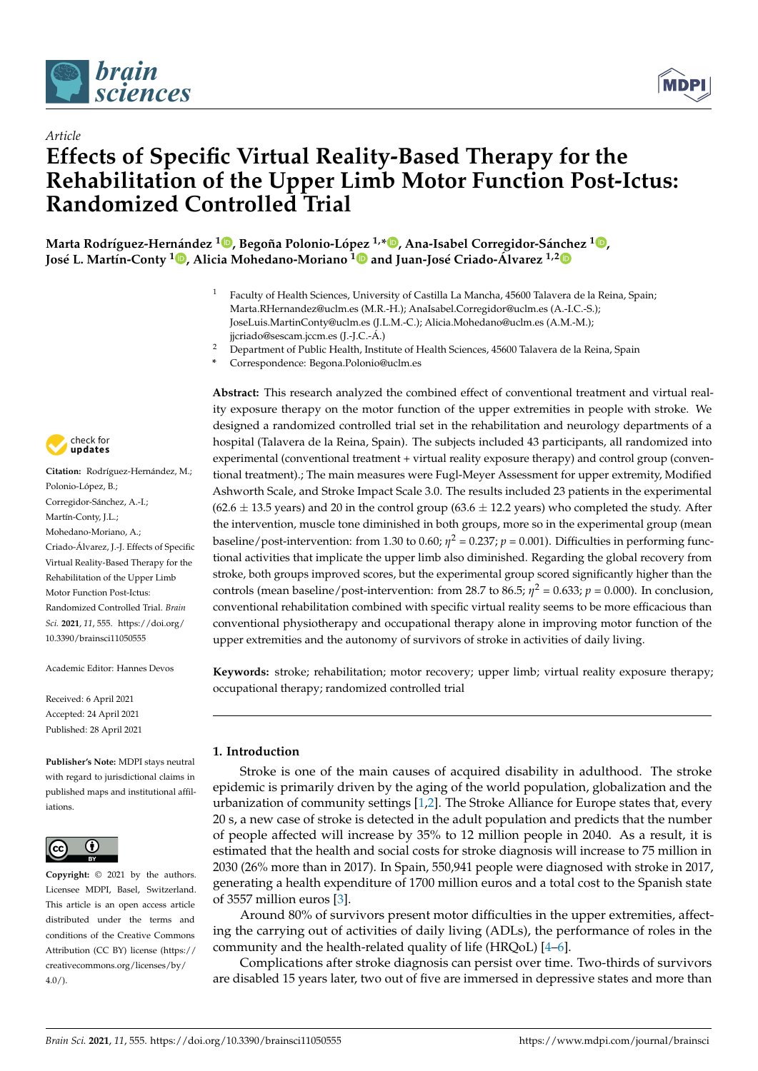

*Article*



# **Effects of Specific Virtual Reality-Based Therapy for the Rehabilitation of the Upper Limb Motor Function Post-Ictus: Randomized Controlled Trial**

**Marta Rodríguez-Hernández <sup>1</sup> [,](https://orcid.org/0000-0003-2182-8870) Begoña Polonio-Ló[pez](https://orcid.org/0000-0003-4904-6774) 1,[\\*](https://orcid.org/0000-0003-2922-7519) , Ana-Isabel Corregidor-Sá[nch](https://orcid.org/0000-0002-7733-9788)ez <sup>1</sup> [,](https://orcid.org/0000-0001-8768-1942) José L. Martín-Conty <sup>1</sup> [,](https://orcid.org/0000-0001-8579-2323) Alicia Mohedano-Moriano <sup>1</sup> and Juan-José Criado-Álvarez 1,2**

- <sup>1</sup> Faculty of Health Sciences, University of Castilla La Mancha, 45600 Talavera de la Reina, Spain; Marta.RHernandez@uclm.es (M.R.-H.); AnaIsabel.Corregidor@uclm.es (A.-I.C.-S.); JoseLuis.MartinConty@uclm.es (J.L.M.-C.); Alicia.Mohedano@uclm.es (A.M.-M.); jjcriado@sescam.jccm.es (J.-J.C.-Á.)
- <sup>2</sup> Department of Public Health, Institute of Health Sciences, 45600 Talavera de la Reina, Spain
- **\*** Correspondence: Begona.Polonio@uclm.es

**Abstract:** This research analyzed the combined effect of conventional treatment and virtual reality exposure therapy on the motor function of the upper extremities in people with stroke. We designed a randomized controlled trial set in the rehabilitation and neurology departments of a hospital (Talavera de la Reina, Spain). The subjects included 43 participants, all randomized into experimental (conventional treatment + virtual reality exposure therapy) and control group (conventional treatment).; The main measures were Fugl-Meyer Assessment for upper extremity, Modified Ashworth Scale, and Stroke Impact Scale 3.0. The results included 23 patients in the experimental  $(62.6 \pm 13.5$  years) and 20 in the control group  $(63.6 \pm 12.2$  years) who completed the study. After the intervention, muscle tone diminished in both groups, more so in the experimental group (mean baseline/post-intervention: from 1.30 to 0.60;  $\eta^2 = 0.237$ ;  $p = 0.001$ ). Difficulties in performing functional activities that implicate the upper limb also diminished. Regarding the global recovery from stroke, both groups improved scores, but the experimental group scored significantly higher than the controls (mean baseline/post-intervention: from 28.7 to 86.5;  $\eta^2 = 0.633$ ;  $p = 0.000$ ). In conclusion, conventional rehabilitation combined with specific virtual reality seems to be more efficacious than conventional physiotherapy and occupational therapy alone in improving motor function of the upper extremities and the autonomy of survivors of stroke in activities of daily living.

**Keywords:** stroke; rehabilitation; motor recovery; upper limb; virtual reality exposure therapy; occupational therapy; randomized controlled trial

# **1. Introduction**

Stroke is one of the main causes of acquired disability in adulthood. The stroke epidemic is primarily driven by the aging of the world population, globalization and the urbanization of community settings [\[1,](#page-11-0)[2\]](#page-11-1). The Stroke Alliance for Europe states that, every 20 s, a new case of stroke is detected in the adult population and predicts that the number of people affected will increase by 35% to 12 million people in 2040. As a result, it is estimated that the health and social costs for stroke diagnosis will increase to 75 million in 2030 (26% more than in 2017). In Spain, 550,941 people were diagnosed with stroke in 2017, generating a health expenditure of 1700 million euros and a total cost to the Spanish state of 3557 million euros [\[3\]](#page-11-2).

Around 80% of survivors present motor difficulties in the upper extremities, affecting the carrying out of activities of daily living (ADLs), the performance of roles in the community and the health-related quality of life (HRQoL) [\[4](#page-11-3)[–6\]](#page-11-4).

Complications after stroke diagnosis can persist over time. Two-thirds of survivors are disabled 15 years later, two out of five are immersed in depressive states and more than



**Citation:** Rodríguez-Hernández, M.; Polonio-López, B.; Corregidor-Sánchez, A.-I.; Martín-Conty, J.L.; Mohedano-Moriano, A.; Criado-Álvarez, J.-J. Effects of Specific Virtual Reality-Based Therapy for the Rehabilitation of the Upper Limb Motor Function Post-Ictus: Randomized Controlled Trial. *Brain Sci.* **2021**, *11*, 555. [https://doi.org/](https://doi.org/10.3390/brainsci11050555) [10.3390/brainsci11050555](https://doi.org/10.3390/brainsci11050555)

Academic Editor: Hannes Devos

Received: 6 April 2021 Accepted: 24 April 2021 Published: 28 April 2021

**Publisher's Note:** MDPI stays neutral with regard to jurisdictional claims in published maps and institutional affiliations.



**Copyright:** © 2021 by the authors. Licensee MDPI, Basel, Switzerland. This article is an open access article distributed under the terms and conditions of the Creative Commons Attribution (CC BY) license (https:/[/](https://creativecommons.org/licenses/by/4.0/) [creativecommons.org/licenses/by/](https://creativecommons.org/licenses/by/4.0/)  $4.0/$ ).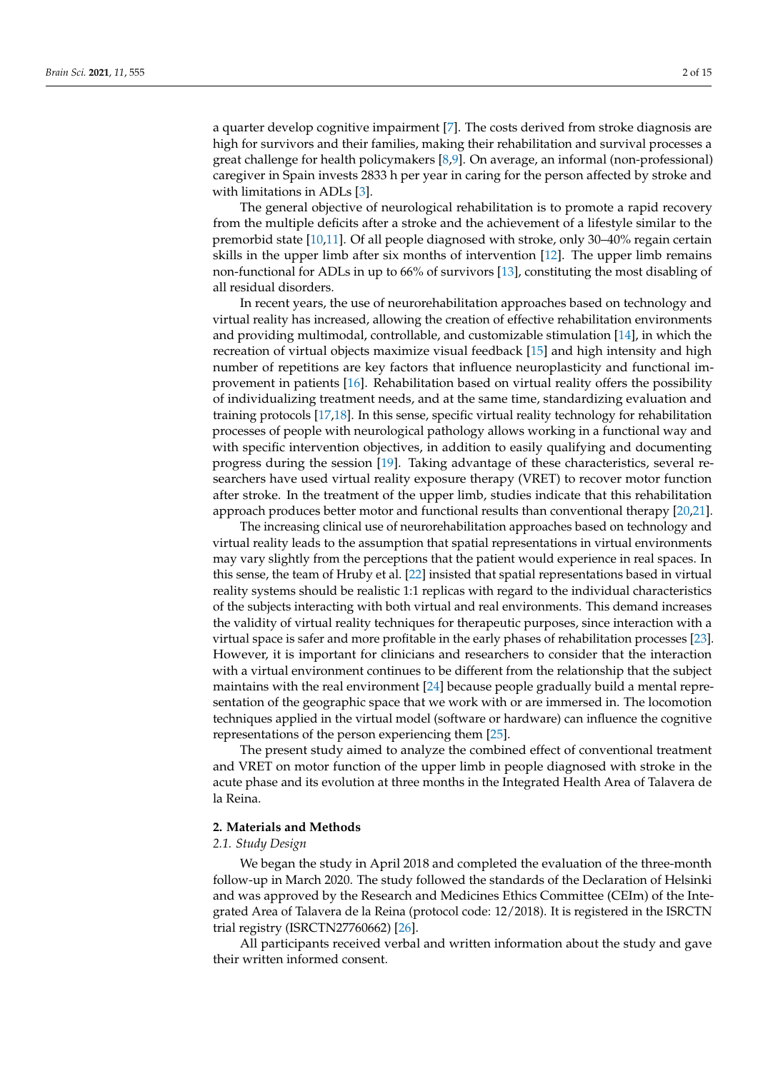a quarter develop cognitive impairment [\[7\]](#page-11-5). The costs derived from stroke diagnosis are high for survivors and their families, making their rehabilitation and survival processes a great challenge for health policymakers [\[8,](#page-12-0)[9\]](#page-12-1). On average, an informal (non-professional) caregiver in Spain invests 2833 h per year in caring for the person affected by stroke and with limitations in ADLs [\[3\]](#page-11-2).

The general objective of neurological rehabilitation is to promote a rapid recovery from the multiple deficits after a stroke and the achievement of a lifestyle similar to the premorbid state [\[10](#page-12-2)[,11\]](#page-12-3). Of all people diagnosed with stroke, only 30–40% regain certain skills in the upper limb after six months of intervention [\[12\]](#page-12-4). The upper limb remains non-functional for ADLs in up to 66% of survivors [\[13\]](#page-12-5), constituting the most disabling of all residual disorders.

In recent years, the use of neurorehabilitation approaches based on technology and virtual reality has increased, allowing the creation of effective rehabilitation environments and providing multimodal, controllable, and customizable stimulation [\[14\]](#page-12-6), in which the recreation of virtual objects maximize visual feedback [\[15\]](#page-12-7) and high intensity and high number of repetitions are key factors that influence neuroplasticity and functional improvement in patients [\[16\]](#page-12-8). Rehabilitation based on virtual reality offers the possibility of individualizing treatment needs, and at the same time, standardizing evaluation and training protocols [\[17,](#page-12-9)[18\]](#page-12-10). In this sense, specific virtual reality technology for rehabilitation processes of people with neurological pathology allows working in a functional way and with specific intervention objectives, in addition to easily qualifying and documenting progress during the session [\[19\]](#page-12-11). Taking advantage of these characteristics, several researchers have used virtual reality exposure therapy (VRET) to recover motor function after stroke. In the treatment of the upper limb, studies indicate that this rehabilitation approach produces better motor and functional results than conventional therapy [\[20](#page-12-12)[,21\]](#page-12-13).

The increasing clinical use of neurorehabilitation approaches based on technology and virtual reality leads to the assumption that spatial representations in virtual environments may vary slightly from the perceptions that the patient would experience in real spaces. In this sense, the team of Hruby et al. [\[22\]](#page-12-14) insisted that spatial representations based in virtual reality systems should be realistic 1:1 replicas with regard to the individual characteristics of the subjects interacting with both virtual and real environments. This demand increases the validity of virtual reality techniques for therapeutic purposes, since interaction with a virtual space is safer and more profitable in the early phases of rehabilitation processes [\[23\]](#page-12-15). However, it is important for clinicians and researchers to consider that the interaction with a virtual environment continues to be different from the relationship that the subject maintains with the real environment [\[24\]](#page-12-16) because people gradually build a mental representation of the geographic space that we work with or are immersed in. The locomotion techniques applied in the virtual model (software or hardware) can influence the cognitive representations of the person experiencing them [\[25\]](#page-12-17).

The present study aimed to analyze the combined effect of conventional treatment and VRET on motor function of the upper limb in people diagnosed with stroke in the acute phase and its evolution at three months in the Integrated Health Area of Talavera de la Reina.

# **2. Materials and Methods**

# *2.1. Study Design*

We began the study in April 2018 and completed the evaluation of the three-month follow-up in March 2020. The study followed the standards of the Declaration of Helsinki and was approved by the Research and Medicines Ethics Committee (CEIm) of the Integrated Area of Talavera de la Reina (protocol code: 12/2018). It is registered in the ISRCTN trial registry (ISRCTN27760662) [\[26\]](#page-12-18).

All participants received verbal and written information about the study and gave their written informed consent.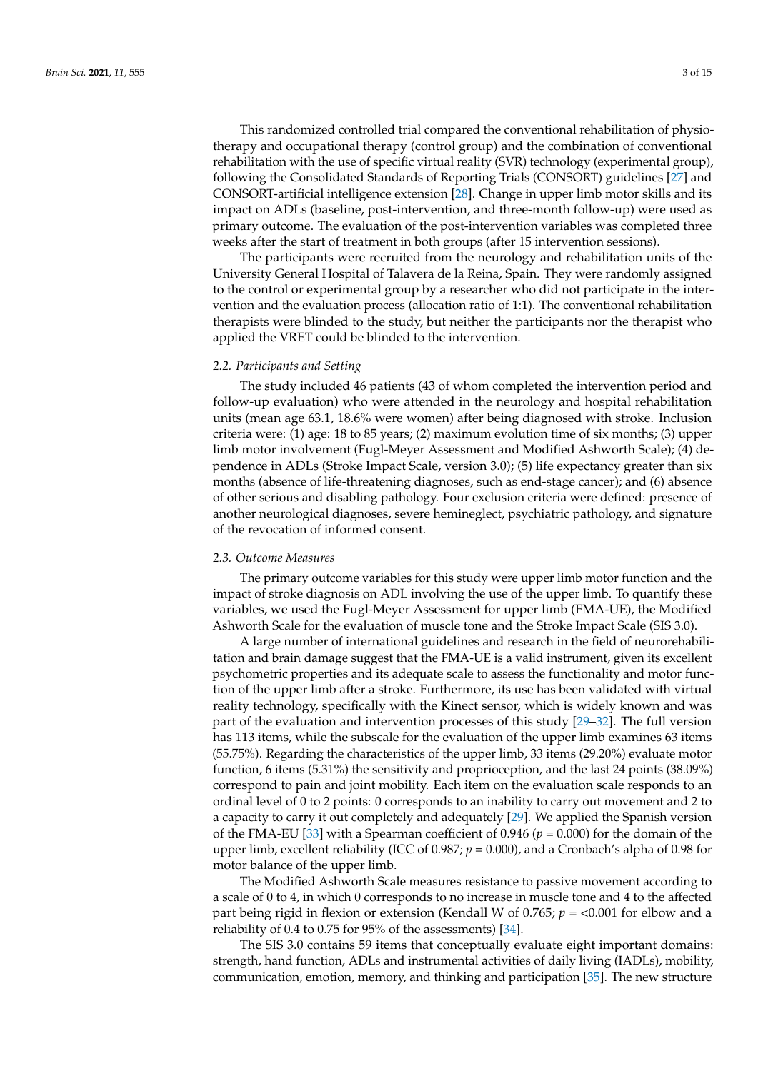following the Consolidated Standards of Reporting Trials (CONSORT) guidelines [\[27\]](#page-12-19) and CONSORT-artificial intelligence extension [\[28\]](#page-12-20). Change in upper limb motor skills and its impact on ADLs (baseline, post-intervention, and three-month follow-up) were used as primary outcome. The evaluation of the post-intervention variables was completed three weeks after the start of treatment in both groups (after 15 intervention sessions).

The participants were recruited from the neurology and rehabilitation units of the University General Hospital of Talavera de la Reina, Spain. They were randomly assigned to the control or experimental group by a researcher who did not participate in the intervention and the evaluation process (allocation ratio of 1:1). The conventional rehabilitation therapists were blinded to the study, but neither the participants nor the therapist who applied the VRET could be blinded to the intervention.

### *2.2. Participants and Setting*

The study included 46 patients (43 of whom completed the intervention period and follow-up evaluation) who were attended in the neurology and hospital rehabilitation units (mean age 63.1, 18.6% were women) after being diagnosed with stroke. Inclusion criteria were: (1) age: 18 to 85 years; (2) maximum evolution time of six months; (3) upper limb motor involvement (Fugl-Meyer Assessment and Modified Ashworth Scale); (4) dependence in ADLs (Stroke Impact Scale, version 3.0); (5) life expectancy greater than six months (absence of life-threatening diagnoses, such as end-stage cancer); and (6) absence of other serious and disabling pathology. Four exclusion criteria were defined: presence of another neurological diagnoses, severe hemineglect, psychiatric pathology, and signature of the revocation of informed consent.

#### *2.3. Outcome Measures*

The primary outcome variables for this study were upper limb motor function and the impact of stroke diagnosis on ADL involving the use of the upper limb. To quantify these variables, we used the Fugl-Meyer Assessment for upper limb (FMA-UE), the Modified Ashworth Scale for the evaluation of muscle tone and the Stroke Impact Scale (SIS 3.0).

A large number of international guidelines and research in the field of neurorehabilitation and brain damage suggest that the FMA-UE is a valid instrument, given its excellent psychometric properties and its adequate scale to assess the functionality and motor function of the upper limb after a stroke. Furthermore, its use has been validated with virtual reality technology, specifically with the Kinect sensor, which is widely known and was part of the evaluation and intervention processes of this study [\[29](#page-12-21)[–32\]](#page-12-22). The full version has 113 items, while the subscale for the evaluation of the upper limb examines 63 items (55.75%). Regarding the characteristics of the upper limb, 33 items (29.20%) evaluate motor function, 6 items (5.31%) the sensitivity and proprioception, and the last 24 points (38.09%) correspond to pain and joint mobility. Each item on the evaluation scale responds to an ordinal level of 0 to 2 points: 0 corresponds to an inability to carry out movement and 2 to a capacity to carry it out completely and adequately [\[29\]](#page-12-21). We applied the Spanish version of the FMA-EU [\[33\]](#page-12-23) with a Spearman coefficient of  $0.946$  ( $p = 0.000$ ) for the domain of the upper limb, excellent reliability (ICC of  $0.987$ ;  $p = 0.000$ ), and a Cronbach's alpha of 0.98 for motor balance of the upper limb.

The Modified Ashworth Scale measures resistance to passive movement according to a scale of 0 to 4, in which 0 corresponds to no increase in muscle tone and 4 to the affected part being rigid in flexion or extension (Kendall W of 0.765; *p* = <0.001 for elbow and a reliability of 0.4 to 0.75 for 95% of the assessments) [\[34\]](#page-13-0).

The SIS 3.0 contains 59 items that conceptually evaluate eight important domains: strength, hand function, ADLs and instrumental activities of daily living (IADLs), mobility, communication, emotion, memory, and thinking and participation [\[35\]](#page-13-1). The new structure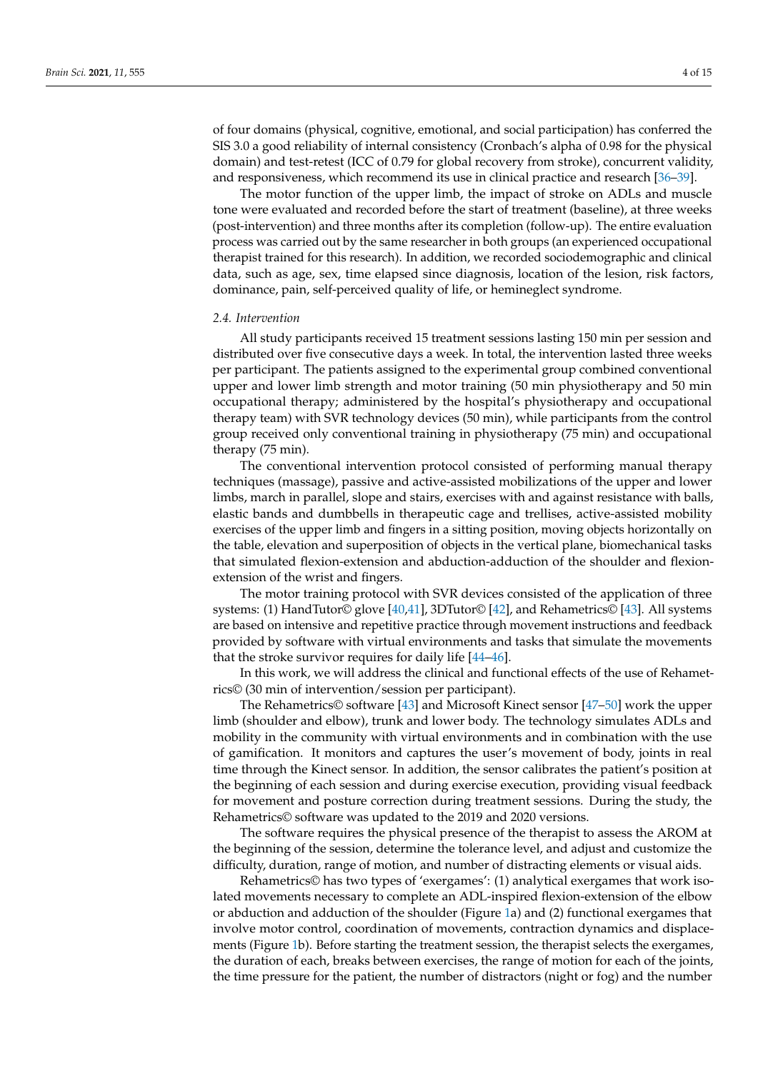of four domains (physical, cognitive, emotional, and social participation) has conferred the SIS 3.0 a good reliability of internal consistency (Cronbach's alpha of 0.98 for the physical domain) and test-retest (ICC of 0.79 for global recovery from stroke), concurrent validity, and responsiveness, which recommend its use in clinical practice and research [\[36–](#page-13-2)[39\]](#page-13-3).

The motor function of the upper limb, the impact of stroke on ADLs and muscle tone were evaluated and recorded before the start of treatment (baseline), at three weeks (post-intervention) and three months after its completion (follow-up). The entire evaluation process was carried out by the same researcher in both groups (an experienced occupational therapist trained for this research). In addition, we recorded sociodemographic and clinical data, such as age, sex, time elapsed since diagnosis, location of the lesion, risk factors, dominance, pain, self-perceived quality of life, or hemineglect syndrome.

#### *2.4. Intervention*

All study participants received 15 treatment sessions lasting 150 min per session and distributed over five consecutive days a week. In total, the intervention lasted three weeks per participant. The patients assigned to the experimental group combined conventional upper and lower limb strength and motor training (50 min physiotherapy and 50 min occupational therapy; administered by the hospital's physiotherapy and occupational therapy team) with SVR technology devices (50 min), while participants from the control group received only conventional training in physiotherapy (75 min) and occupational therapy (75 min).

The conventional intervention protocol consisted of performing manual therapy techniques (massage), passive and active-assisted mobilizations of the upper and lower limbs, march in parallel, slope and stairs, exercises with and against resistance with balls, elastic bands and dumbbells in therapeutic cage and trellises, active-assisted mobility exercises of the upper limb and fingers in a sitting position, moving objects horizontally on the table, elevation and superposition of objects in the vertical plane, biomechanical tasks that simulated flexion-extension and abduction-adduction of the shoulder and flexionextension of the wrist and fingers.

The motor training protocol with SVR devices consisted of the application of three systems: (1) HandTutor© glove [\[40](#page-13-4)[,41\]](#page-13-5), 3DTutor© [\[42\]](#page-13-6), and Rehametrics© [\[43\]](#page-13-7). All systems are based on intensive and repetitive practice through movement instructions and feedback provided by software with virtual environments and tasks that simulate the movements that the stroke survivor requires for daily life [\[44–](#page-13-8)[46\]](#page-13-9).

In this work, we will address the clinical and functional effects of the use of Rehametrics© (30 min of intervention/session per participant).

The Rehametrics© software [\[43\]](#page-13-7) and Microsoft Kinect sensor [\[47](#page-13-10)[–50\]](#page-13-11) work the upper limb (shoulder and elbow), trunk and lower body. The technology simulates ADLs and mobility in the community with virtual environments and in combination with the use of gamification. It monitors and captures the user's movement of body, joints in real time through the Kinect sensor. In addition, the sensor calibrates the patient's position at the beginning of each session and during exercise execution, providing visual feedback for movement and posture correction during treatment sessions. During the study, the Rehametrics© software was updated to the 2019 and 2020 versions.

The software requires the physical presence of the therapist to assess the AROM at the beginning of the session, determine the tolerance level, and adjust and customize the difficulty, duration, range of motion, and number of distracting elements or visual aids.

Rehametrics© has two types of 'exergames': (1) analytical exergames that work isolated movements necessary to complete an ADL-inspired flexion-extension of the elbow or abduction and adduction of the shoulder (Figure [1a](#page-4-0)) and (2) functional exergames that involve motor control, coordination of movements, contraction dynamics and displacements (Figure [1b](#page-4-0)). Before starting the treatment session, the therapist selects the exergames, the duration of each, breaks between exercises, the range of motion for each of the joints, the time pressure for the patient, the number of distractors (night or fog) and the number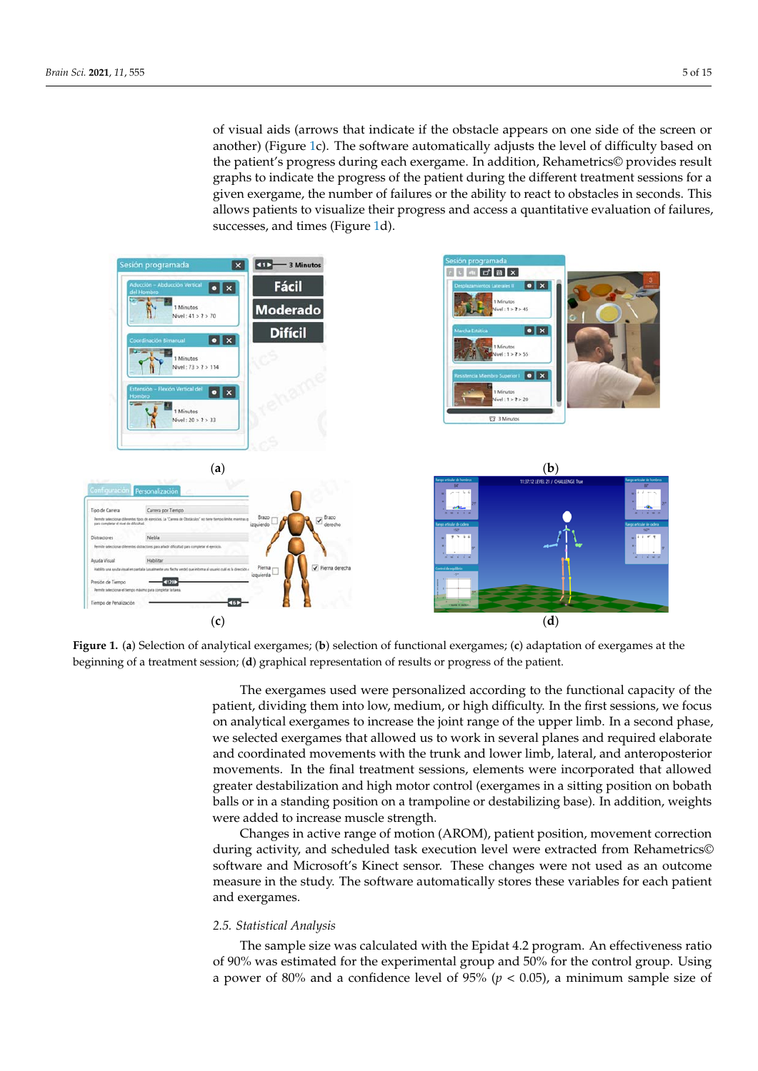of visual aids (arrows that indicate if the obstacle appears on one side of the screen or another) (Figure [1c](#page-4-0)). The software automatically adjusts the level of difficulty based on the patient's progress during each exergame. In addition, Rehametrics© provides result graphs to indicate the progress of the patient during the different treatment sessions for a given exergame, the number of failures or the ability to react to obstacles in seconds. This allows patients to visualize their progress and access a quantitative evaluation of failures, successes, and times (Figure [1d](#page-4-0)). balls or in a standing position on a trampoline or destabilizing base). In addition, weights or visual alus (arrows that indicate

<span id="page-4-0"></span>

**Figure 1.** (**a**) Selection of analytical exergames; (**b**) selection of functional exergames; (**c**) adaptation of exergames at the beginning of a treatment session; (**d**) graphical representation of results or progress of the patient.

The exergames used were personalized according to the functional capacity of the patient, dividing them into low, medium, or high difficulty. In the first sessions, we focus on analytical exergames to increase the joint range of the upper limb. In a second phase, we selected exergames that allowed us to work in several planes and required elaborate and coordinated movements with the trunk and lower limb, lateral, and anteroposterior movements. In the final treatment sessions, elements were incorporated that allowed greater destabilization and high motor control (exergames in a sitting position on bobath balls or in a standing position on a trampoline or destabilizing base). In addition, weights were added to increase muscle strength.

Changes in active range of motion (AROM), patient position, movement correction during activity, and scheduled task execution level were extracted from Rehametrics© software and Microsoft's Kinect sensor. These changes were not used as an outcome measure in the study. The software automatically stores these variables for each patient and exergames.

## *2.5. Statistical Analysis*

The sample size was calculated with the Epidat 4.2 program. An effectiveness ratio of 90% was estimated for the experimental group and 50% for the control group. Using a power of 80% and a confidence level of 95% ( $p < 0.05$ ), a minimum sample size of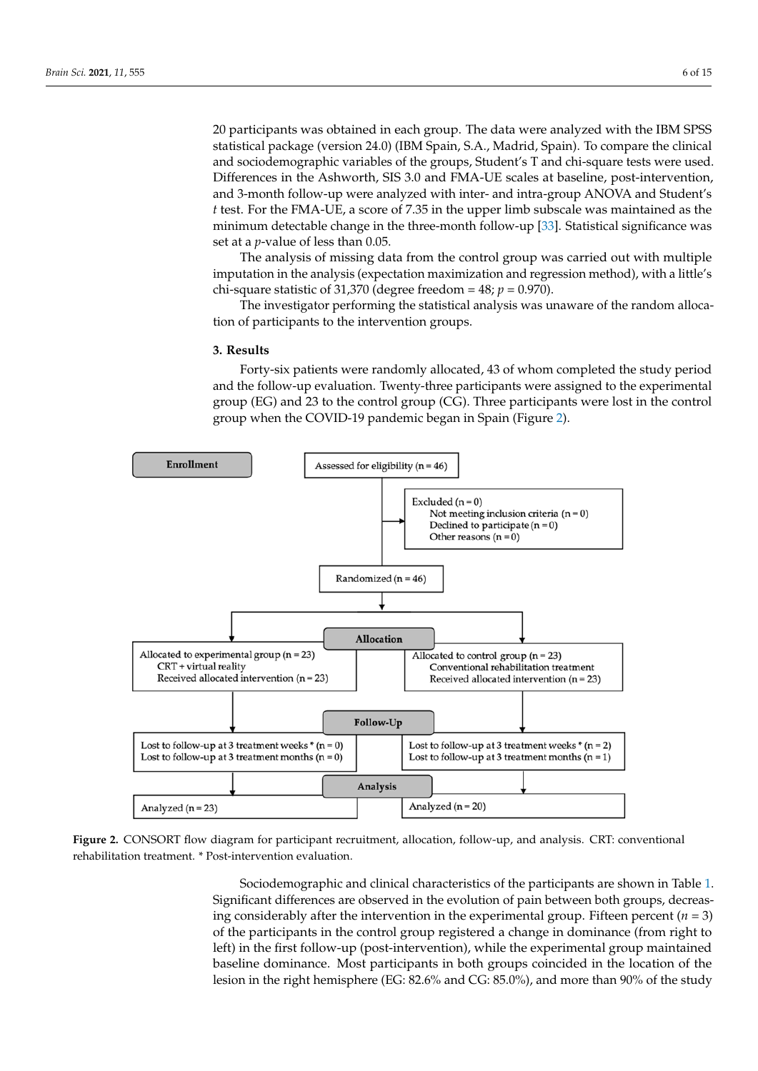20 participants was obtained in each group. The data were analyzed with the IBM SPSS statistical package (version 24.0) (IBM Spain, S.A., Madrid, Spain). To compare the clinical and sociodemographic variables of the groups, Student's T and chi-square tests were used. Differences in the Ashworth, SIS 3.0 and FMA-UE scales at baseline, post-intervention, and 3-month follow-up were analyzed with inter- and intra-group ANOVA and Student's *t* test. For the FMA-UE, a score of 7.35 in the upper limb subscale was maintained as the minimum detectable change in the three-month follow-up [\[33\]](#page-12-23). Statistical significance was set at a *p*-value of less than 0.05.

The analysis of missing data from the control group was carried out with multiple imputation in the analysis (expectation maximization and regression method), with a little's chi-square statistic of 31,370 (degree freedom =  $48$ ;  $p = 0.970$ ).

The investigator performing the statistical analysis was unaware of the random allocation of participants to the intervention groups.

#### **3. Results**

Forty-six patients were randomly allocated, 43 of whom completed the study period and the follow-up evaluation. Twenty-three participants were assigned to the experimental group (EG) and 23 to the control group (CG). Three participants were lost in the control group when the COVID-19 pandemic began in Spain (Figure [2\)](#page-5-0).

<span id="page-5-0"></span>

Figure 2. CONSORT flow diagram for participant recruitment, allocation, follow-up, and analysis. CRT: conventional rehabilitation treatment. \* Post-intervention evaluation.

Sociodemographic and clinical characteristics of the participants are shown in Table [1.](#page-6-0) Significant differences are observed in the evolution or pain between both groups, decreasing considerably after the intervention in the experimental group. Fifteen percent  $(n = 3)$ **(***n* **= 23) (***n* **= 20) (***p-***Value)**  of the participants in the control group registered a change in dominance (from right to baseline dominance. Most participants in both groups coincided in the location of the lesion in the right hemisphere (EG: 82.6% and CG: 85.0%), and more than 90% of the study Under 55 years (%) 26.1 25 Significant differences are observed in the evolution of pain between both groups, decreasleft) in the first follow-up (post-intervention), while the experimental group maintained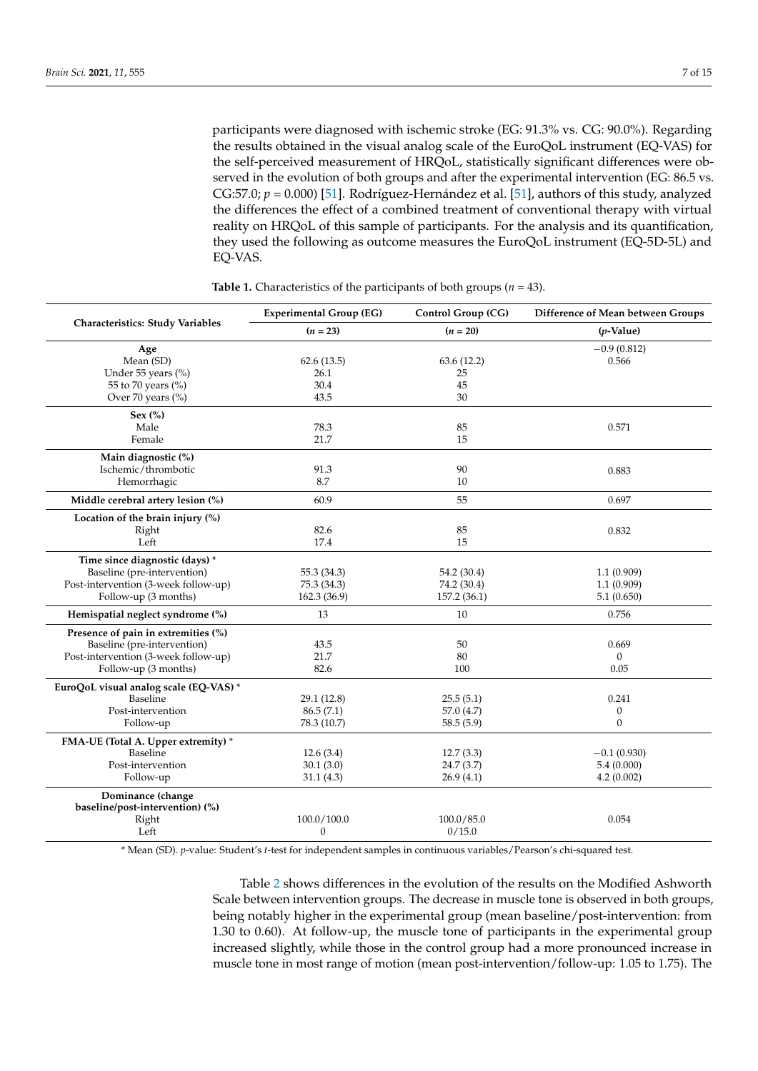participants were diagnosed with ischemic stroke (EG: 91.3% vs. CG: 90.0%). Regarding the results obtained in the visual analog scale of the EuroQoL instrument (EQ-VAS) for the self-perceived measurement of HRQoL, statistically significant differences were observed in the evolution of both groups and after the experimental intervention (EG: 86.5 vs. CG:57.0;  $p = 0.000$  [\[51\]](#page-13-12). Rodríguez-Hernández et al. [51], authors of this study, analyzed the differences the effect of a combined treatment of conventional therapy with virtual reality on HRQoL of this sample of participants. For the analysis and its quantification, they used the following as outcome measures the EuroQoL instrument (EQ-5D-5L) and EQ-VAS.

<span id="page-6-0"></span>

|                                         | <b>Experimental Group (EG)</b> | Control Group (CG) | Difference of Mean between Groups |  |  |
|-----------------------------------------|--------------------------------|--------------------|-----------------------------------|--|--|
| <b>Characteristics: Study Variables</b> | $(n = 23)$                     | $(n = 20)$         | $(p$ -Value)                      |  |  |
| Age                                     |                                |                    | $-0.9(0.812)$                     |  |  |
| Mean (SD)                               | 62.6(13.5)                     | 63.6(12.2)         | 0.566                             |  |  |
| Under 55 years (%)                      | 26.1                           | 25                 |                                   |  |  |
| 55 to 70 years (%)                      | 30.4                           | 45                 |                                   |  |  |
| Over 70 years (%)                       | 43.5                           | 30                 |                                   |  |  |
| Sex $(\%)$                              |                                |                    |                                   |  |  |
| Male                                    | 78.3                           | 85                 | 0.571                             |  |  |
| Female                                  | 21.7                           | 15                 |                                   |  |  |
| Main diagnostic (%)                     |                                |                    |                                   |  |  |
| Ischemic/thrombotic                     | 91.3                           | 90                 | 0.883                             |  |  |
| Hemorrhagic                             | 8.7                            | 10                 |                                   |  |  |
| Middle cerebral artery lesion (%)       | 60.9                           | 55                 | 0.697                             |  |  |
| Location of the brain injury $(\%)$     |                                |                    |                                   |  |  |
| Right                                   | 82.6                           | 85                 | 0.832                             |  |  |
| Left                                    | 17.4                           | 15                 |                                   |  |  |
| Time since diagnostic (days) *          |                                |                    |                                   |  |  |
| Baseline (pre-intervention)             | 55.3 (34.3)                    | 54.2 (30.4)        | 1.1(0.909)                        |  |  |
| Post-intervention (3-week follow-up)    | 75.3 (34.3)                    | 74.2 (30.4)        | 1.1(0.909)                        |  |  |
| Follow-up (3 months)                    | 162.3 (36.9)                   | 157.2 (36.1)       | 5.1(0.650)                        |  |  |
| Hemispatial neglect syndrome (%)        | 13                             | 10                 | 0.756                             |  |  |
| Presence of pain in extremities (%)     |                                |                    |                                   |  |  |
| Baseline (pre-intervention)             | 43.5                           | 50                 | 0.669                             |  |  |
| Post-intervention (3-week follow-up)    | 21.7                           | 80                 | $\mathbf{0}$                      |  |  |
| Follow-up (3 months)                    | 82.6                           | 100                | 0.05                              |  |  |
| EuroQoL visual analog scale (EQ-VAS) *  |                                |                    |                                   |  |  |
| Baseline                                | 29.1(12.8)                     | 25.5(5.1)          | 0.241                             |  |  |
| Post-intervention                       | 86.5(7.1)                      | 57.0 (4.7)         | $\boldsymbol{0}$                  |  |  |
| Follow-up                               | 78.3 (10.7)                    | 58.5(5.9)          | $\mathbf{0}$                      |  |  |
| FMA-UE (Total A. Upper extremity) *     |                                |                    |                                   |  |  |
| Baseline                                | 12.6(3.4)                      | 12.7(3.3)          | $-0.1(0.930)$                     |  |  |
| Post-intervention                       | 30.1(3.0)                      | 24.7(3.7)          | 5.4(0.000)                        |  |  |
| Follow-up                               | 31.1(4.3)                      | 26.9(4.1)          | 4.2(0.002)                        |  |  |
| Dominance (change                       |                                |                    |                                   |  |  |
| baseline/post-intervention) (%)         |                                |                    |                                   |  |  |
| Right                                   | 100.0/100.0                    | 100.0 / 85.0       | 0.054                             |  |  |
| Left                                    | $\mathbf{0}$                   | 0/15.0             |                                   |  |  |

**Table 1.** Characteristics of the participants of both groups (*n* = 43).

\* Mean (SD). *p*-value: Student's *t*-test for independent samples in continuous variables/Pearson's chi-squared test.

Table [2](#page-7-0) shows differences in the evolution of the results on the Modified Ashworth Scale between intervention groups. The decrease in muscle tone is observed in both groups, being notably higher in the experimental group (mean baseline/post-intervention: from 1.30 to 0.60). At follow-up, the muscle tone of participants in the experimental group increased slightly, while those in the control group had a more pronounced increase in muscle tone in most range of motion (mean post-intervention/follow-up: 1.05 to 1.75). The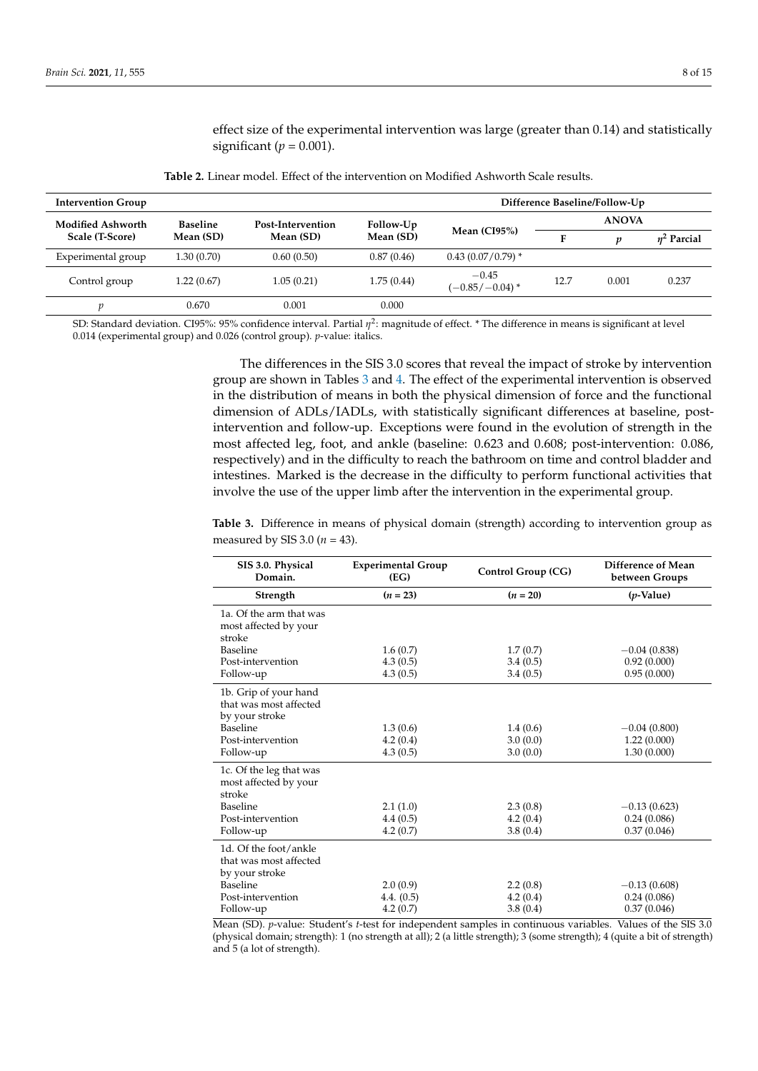effect size of the experimental intervention was large (greater than 0.14) and statistically significant ( $p = 0.001$ ).

<span id="page-7-0"></span>

| <b>Intervention Group</b> |                 |                   |                        |                              |              | Difference Baseline/Follow-Up |                  |
|---------------------------|-----------------|-------------------|------------------------|------------------------------|--------------|-------------------------------|------------------|
| <b>Modified Ashworth</b>  | <b>Baseline</b> | Post-Intervention | Follow-Up<br>Mean (SD) | Mean $(CI95%)$               | <b>ANOVA</b> |                               |                  |
| Scale (T-Score)           | Mean (SD)       | Mean (SD)         |                        |                              | Е            | p                             | $\eta^2$ Parcial |
| Experimental group        | 1.30 (0.70)     | 0.60(0.50)        | 0.87(0.46)             | $0.43(0.07/0.79)$ *          |              |                               |                  |
| Control group             | 1.22 (0.67)     | 1.05(0.21)        | 1.75(0.44)             | $-0.45$<br>$(-0.85/-0.04)$ * | 12.7         | 0.001                         | 0.237            |
| n                         | 0.670           | 0.001             | 0.000                  |                              |              |                               |                  |

**Table 2.** Linear model. Effect of the intervention on Modified Ashworth Scale results.

SD: Standard deviation. CI95%: 95% confidence interval. Partial η<sup>2</sup>: magnitude of effect. \* The difference in means is significant at level 0.014 (experimental group) and 0.026 (control group). *p*-value: italics.

> The differences in the SIS 3.0 scores that reveal the impact of stroke by intervention group are shown in Tables [3](#page-7-1) and [4.](#page-8-0) The effect of the experimental intervention is observed in the distribution of means in both the physical dimension of force and the functional dimension of ADLs/IADLs, with statistically significant differences at baseline, postintervention and follow-up. Exceptions were found in the evolution of strength in the most affected leg, foot, and ankle (baseline: 0.623 and 0.608; post-intervention: 0.086, respectively) and in the difficulty to reach the bathroom on time and control bladder and intestines. Marked is the decrease in the difficulty to perform functional activities that involve the use of the upper limb after the intervention in the experimental group.

> <span id="page-7-1"></span>**Table 3.** Difference in means of physical domain (strength) according to intervention group as measured by SIS 3.0 (*n* = 43).

| SIS 3.0. Physical<br>Domain.                                                                       | <b>Experimental Group</b><br>(EG) | Control Group (CG)   | Difference of Mean<br>between Groups |  |  |
|----------------------------------------------------------------------------------------------------|-----------------------------------|----------------------|--------------------------------------|--|--|
| Strength                                                                                           | $(n = 23)$                        | $(n = 20)$           | $(p\text{-Value})$                   |  |  |
| 1a. Of the arm that was<br>most affected by your<br>stroke                                         |                                   |                      |                                      |  |  |
| Baseline                                                                                           | 1.6(0.7)                          | 1.7(0.7)             | $-0.04(0.838)$                       |  |  |
| Post-intervention                                                                                  | 4.3(0.5)                          | 3.4(0.5)             | 0.92(0.000)                          |  |  |
| Follow-up                                                                                          | 4.3(0.5)                          | 3.4(0.5)             | 0.95(0.000)                          |  |  |
| 1b. Grip of your hand<br>that was most affected<br>by your stroke<br>Baseline<br>Post-intervention | 1.3(0.6)<br>4.2(0.4)              | 1.4(0.6)<br>3.0(0.0) | $-0.04(0.800)$<br>1.22(0.000)        |  |  |
| Follow-up                                                                                          | 4.3(0.5)                          | 3.0(0.0)             | 1.30(0.000)                          |  |  |
| 1c. Of the leg that was<br>most affected by your<br>stroke                                         |                                   |                      |                                      |  |  |
| Baseline                                                                                           | 2.1(1.0)                          | 2.3(0.8)             | $-0.13(0.623)$                       |  |  |
| Post-intervention                                                                                  | 4.4(0.5)                          | 4.2(0.4)             | 0.24(0.086)                          |  |  |
| Follow-up                                                                                          | 4.2(0.7)                          | 3.8(0.4)             | 0.37(0.046)                          |  |  |
| 1d. Of the foot/ankle<br>that was most affected<br>by your stroke                                  |                                   |                      |                                      |  |  |
| Baseline                                                                                           | 2.0(0.9)                          | 2.2(0.8)             | $-0.13(0.608)$                       |  |  |
| Post-intervention                                                                                  | 4.4. (0.5)                        | 4.2(0.4)             | 0.24(0.086)                          |  |  |
| Follow-up                                                                                          | 4.2(0.7)                          | 3.8(0.4)             | 0.37(0.046)                          |  |  |

Mean (SD). *p*-value: Student's *t*-test for independent samples in continuous variables. Values of the SIS 3.0 (physical domain; strength): 1 (no strength at all); 2 (a little strength); 3 (some strength); 4 (quite a bit of strength) and 5 (a lot of strength).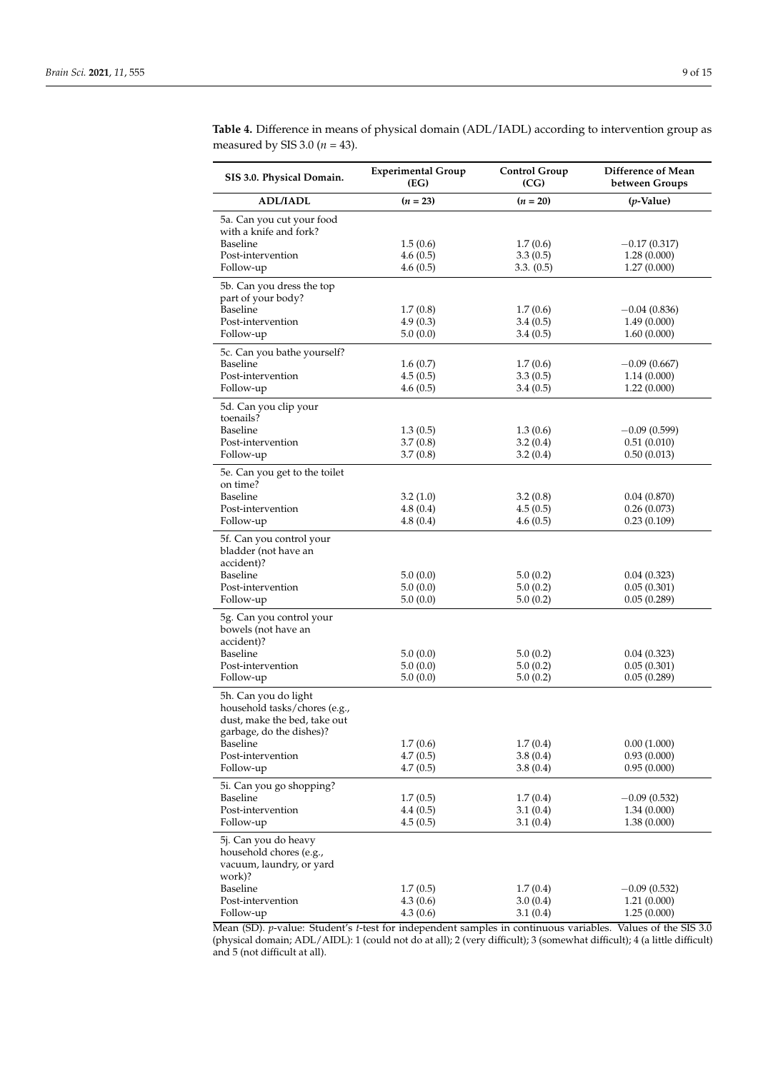| SIS 3.0. Physical Domain.                                                                                         | <b>Experimental Group</b><br>(EG) | <b>Control Group</b><br>(CG) | Difference of Mean<br>between Groups |
|-------------------------------------------------------------------------------------------------------------------|-----------------------------------|------------------------------|--------------------------------------|
| <b>ADL/IADL</b>                                                                                                   | $(n = 23)$                        | $(n = 20)$                   | $(p$ -Value)                         |
| 5a. Can you cut your food<br>with a knife and fork?                                                               |                                   |                              |                                      |
| Baseline                                                                                                          | 1.5(0.6)                          | 1.7(0.6)                     | $-0.17(0.317)$                       |
| Post-intervention                                                                                                 | 4.6(0.5)                          | 3.3(0.5)                     | 1.28(0.000)                          |
| Follow-up                                                                                                         | 4.6(0.5)                          | 3.3. (0.5)                   | 1.27(0.000)                          |
| 5b. Can you dress the top<br>part of your body?                                                                   |                                   |                              |                                      |
| Baseline<br>Post-intervention                                                                                     | 1.7(0.8)<br>4.9(0.3)              | 1.7(0.6)                     | $-0.04(0.836)$<br>1.49(0.000)        |
| Follow-up                                                                                                         | 5.0(0.0)                          | 3.4(0.5)<br>3.4(0.5)         | 1.60(0.000)                          |
|                                                                                                                   |                                   |                              |                                      |
| 5c. Can you bathe yourself?<br>Baseline                                                                           | 1.6(0.7)                          | 1.7(0.6)                     | $-0.09(0.667)$                       |
| Post-intervention                                                                                                 | 4.5(0.5)                          | 3.3(0.5)                     | 1.14(0.000)                          |
| Follow-up                                                                                                         | 4.6(0.5)                          | 3.4(0.5)                     | 1.22(0.000)                          |
| 5d. Can you clip your<br>toenails?                                                                                |                                   |                              |                                      |
| Baseline                                                                                                          | 1.3(0.5)                          | 1.3(0.6)                     | $-0.09(0.599)$                       |
| Post-intervention                                                                                                 | 3.7(0.8)                          | 3.2(0.4)                     | 0.51(0.010)                          |
| Follow-up                                                                                                         | 3.7(0.8)                          | 3.2(0.4)                     | 0.50(0.013)                          |
| 5e. Can you get to the toilet<br>on time?                                                                         |                                   |                              |                                      |
| Baseline                                                                                                          | 3.2(1.0)                          | 3.2(0.8)                     | 0.04(0.870)                          |
| Post-intervention                                                                                                 | 4.8(0.4)                          | 4.5(0.5)                     | 0.26(0.073)                          |
| Follow-up                                                                                                         | 4.8(0.4)                          | 4.6(0.5)                     | 0.23(0.109)                          |
| 5f. Can you control your<br>bladder (not have an<br>accident)?                                                    |                                   |                              |                                      |
| Baseline                                                                                                          | 5.0(0.0)                          | 5.0(0.2)                     | 0.04(0.323)                          |
| Post-intervention<br>Follow-up                                                                                    | 5.0(0.0)<br>5.0(0.0)              | 5.0(0.2)<br>5.0(0.2)         | 0.05(0.301)<br>0.05(0.289)           |
|                                                                                                                   |                                   |                              |                                      |
| 5g. Can you control your<br>bowels (not have an<br>accident)?                                                     |                                   |                              |                                      |
| Baseline                                                                                                          | 5.0(0.0)                          | 5.0(0.2)                     | 0.04(0.323)                          |
| Post-intervention                                                                                                 | 5.0(0.0)                          | 5.0(0.2)                     | 0.05(0.301)                          |
| Follow-up                                                                                                         | 5.0(0.0)                          | 5.0(0.2)                     | 0.05(0.289)                          |
| 5h. Can you do light<br>household tasks/chores (e.g.,<br>dust, make the bed, take out<br>garbage, do the dishes)? |                                   |                              |                                      |
| Baseline                                                                                                          | 1.7(0.6)                          | 1.7(0.4)                     | 0.00(1.000)                          |
| Post-intervention                                                                                                 | 4.7(0.5)                          | 3.8(0.4)                     | 0.93(0.000)                          |
| Follow-up                                                                                                         | 4.7(0.5)                          | 3.8(0.4)                     | 0.95(0.000)                          |
| 5i. Can you go shopping?                                                                                          |                                   |                              |                                      |
| Baseline                                                                                                          | 1.7(0.5)                          | 1.7(0.4)                     | $-0.09(0.532)$                       |
| Post-intervention<br>Follow-up                                                                                    | 4.4(0.5)<br>4.5(0.5)              | 3.1(0.4)<br>3.1(0.4)         | 1.34(0.000)<br>1.38(0.000)           |
| 5j. Can you do heavy                                                                                              |                                   |                              |                                      |
| household chores (e.g.,<br>vacuum, laundry, or yard<br>work)?                                                     |                                   |                              |                                      |
| Baseline                                                                                                          | 1.7(0.5)                          | 1.7(0.4)                     | $-0.09(0.532)$                       |
| Post-intervention                                                                                                 | 4.3(0.6)                          | 3.0(0.4)                     | 1.21(0.000)                          |
| Follow-up                                                                                                         | 4.3(0.6)                          | 3.1(0.4)                     | 1.25(0.000)                          |

<span id="page-8-0"></span>**Table 4.** Difference in means of physical domain (ADL/IADL) according to intervention group as measured by SIS 3.0 (*n* = 43).

Mean (SD). *p*-value: Student's *t*-test for independent samples in continuous variables. Values of the SIS 3.0 (physical domain; ADL/AIDL): 1 (could not do at all); 2 (very difficult); 3 (somewhat difficult); 4 (a little difficult) and 5 (not difficult at all).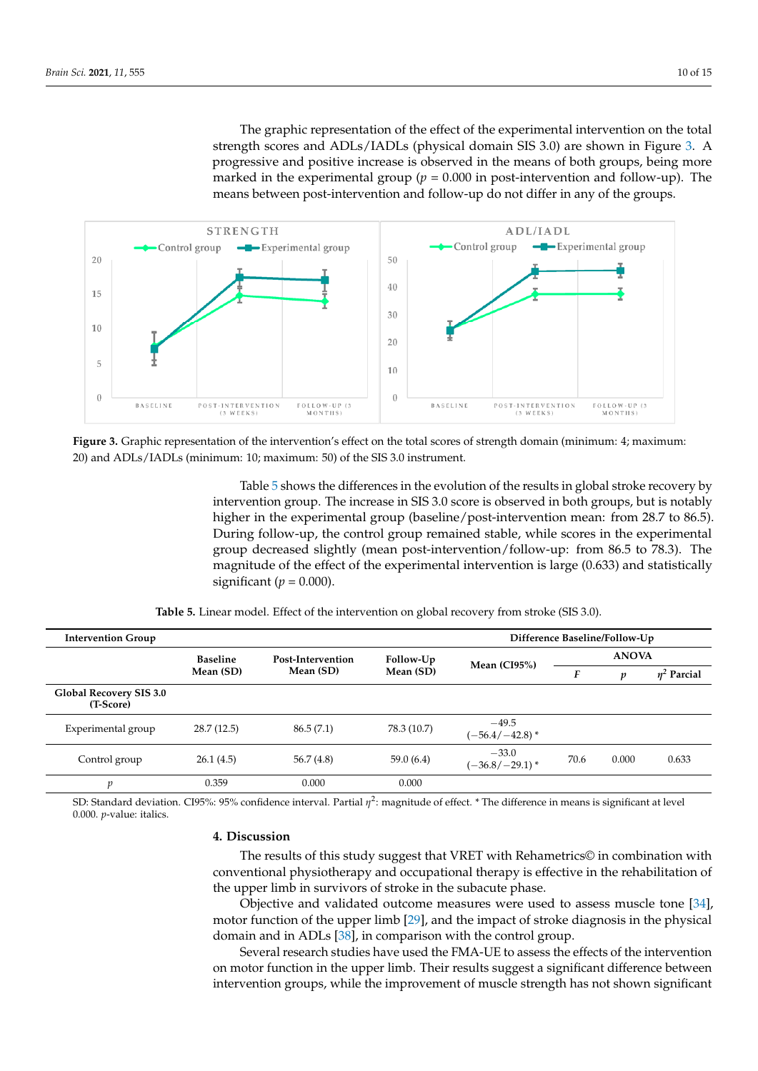The graphic representation of the effect of the experimental intervention on the total strength scores and ADLs/IADLs (physical domain SIS 3.0) are shown in Figure [3.](#page-9-0) A progressive and positive increase is observed in the means of both groups, being more marked in the experimental group ( $p = 0.000$  in post-intervention and follow-up). The means between post-intervention and follow-up do not differ in any of the groups.

<span id="page-9-0"></span>

Figure 3. Graphic representation of the intervention's effect on the total scores of strength domain (minimum: 4; maximum: 20) and ADLs/IADLs (minimum: 10; maximum: 50) of the SIS 3.0 instrument. 20) and ADLs/IADLs (minimum: 10; maximum: 50) of the SIS 3.0 instrument.

Table 5 shows the differences in the evolution of the results in global stroke recovery Table [5](#page-9-1) shows the differences in the evolution of the results in global stroke recovery by  $\mathbf{r}$  intervention group. The increase in SIS 3.0 score is observed in both groups, but is observed in both groups, but is  $\mathbf{r}$ intervention group. The increase in SIS 3.0 score is observed in both groups, but is notably higher in the experimental group (baseline/post-intervention mean: from 28.7 to 86.5). During follow-up, the control group remained stable, while scores in the experimental group decreased slightly (mean post-intervention/follow-up: from 86.5 to 78.3). The magnitude of the effect of the experimental intervention is large (0.633) and statistically significant ( $p = 0.000$ ).

<span id="page-9-1"></span>

| <b>Intervention Group</b>            |                 | Difference Baseline/Follow-Up |             |                              |              |       |                  |
|--------------------------------------|-----------------|-------------------------------|-------------|------------------------------|--------------|-------|------------------|
|                                      | <b>Baseline</b> | Post-Intervention             | Follow-Up   | Mean $(CI95%)$               | <b>ANOVA</b> |       |                  |
|                                      | Mean (SD)       | Mean (SD)                     | Mean (SD)   |                              | F            | p     | $\eta^2$ Parcial |
| Global Recovery SIS 3.0<br>(T-Score) |                 |                               |             |                              |              |       |                  |
| Experimental group                   | 28.7(12.5)      | 86.5(7.1)                     | 78.3 (10.7) | $-49.5$<br>$(-56.4/-42.8)$ * |              |       |                  |
| Control group                        | 26.1(4.5)       | 56.7(4.8)                     | 59.0(6.4)   | $-33.0$<br>$(-36.8/-29.1)$ * | 70.6         | 0.000 | 0.633            |
| p                                    | 0.359           | 0.000                         | 0.000       |                              |              |       |                  |
|                                      |                 |                               |             |                              |              |       |                  |

**Table 5.** Linear model. Effect of the intervention on global recovery from stroke (SIS 3.0).

SD: Standard deviation. CI95%: 95% confidence interval. Partial  $\eta^2$ : magnitude of effect. \* The difference in means is significant at level 0.000. *p*-value: italics.

# **4. Discussion 4. Discussion**

The results of this study suggest that VRET with Rehametrics© in combination with The results of this study suggest that VRET with Rehametrics© in combination with conventional physiotherapy and occupational therapy is effective in the rehabilitation of conventional physiotherapy and occupational therapy is effective in the rehabilitation of the upper limb in survivors of stroke in the subacute phase. the upper limb in survivors of stroke in the subacute phase.

Objective and validated outcome measures were used to assess muscle tone [\[34\]](#page-13-0), motor function of the upper limb [2[9\], a](#page-12-21)nd the impact of stroke diagnosis in the physical domain and in ADLs [\[38](#page-13-13)], in comparison with the control group. domain and in ADLs [38], in comparison with the control group.

Several research studies have used the FMA-UE to assess the effects of the intervention on motor function in the upper limb. Their results suggest a significant difference between  $\alpha$  between intervention groups, while the improvement of muscle strength has not shown significant intervention groups, while the improvement of muscle strength has not shown significant<br>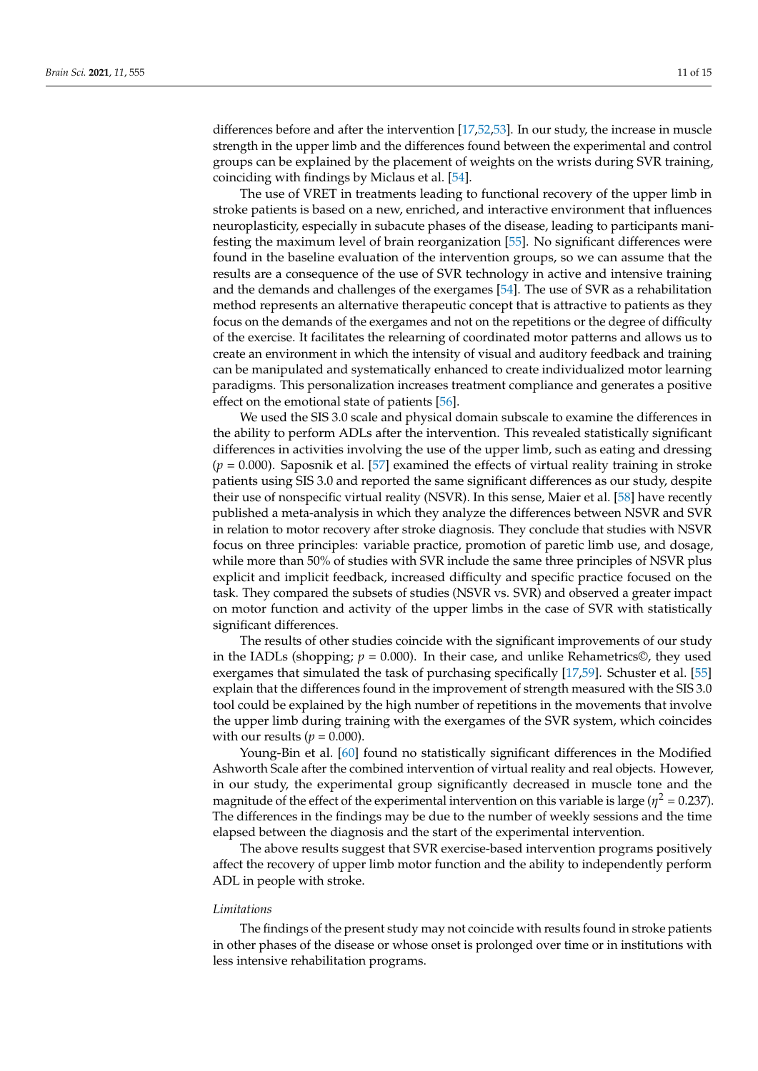differences before and after the intervention [\[17](#page-12-9)[,52](#page-13-14)[,53\]](#page-13-15). In our study, the increase in muscle strength in the upper limb and the differences found between the experimental and control groups can be explained by the placement of weights on the wrists during SVR training, coinciding with findings by Miclaus et al. [\[54\]](#page-13-16).

The use of VRET in treatments leading to functional recovery of the upper limb in stroke patients is based on a new, enriched, and interactive environment that influences neuroplasticity, especially in subacute phases of the disease, leading to participants manifesting the maximum level of brain reorganization [\[55\]](#page-13-17). No significant differences were found in the baseline evaluation of the intervention groups, so we can assume that the results are a consequence of the use of SVR technology in active and intensive training and the demands and challenges of the exergames [\[54\]](#page-13-16). The use of SVR as a rehabilitation method represents an alternative therapeutic concept that is attractive to patients as they focus on the demands of the exergames and not on the repetitions or the degree of difficulty of the exercise. It facilitates the relearning of coordinated motor patterns and allows us to create an environment in which the intensity of visual and auditory feedback and training can be manipulated and systematically enhanced to create individualized motor learning paradigms. This personalization increases treatment compliance and generates a positive effect on the emotional state of patients [\[56\]](#page-13-18).

We used the SIS 3.0 scale and physical domain subscale to examine the differences in the ability to perform ADLs after the intervention. This revealed statistically significant differences in activities involving the use of the upper limb, such as eating and dressing  $(p = 0.000)$ . Saposnik et al. [\[57\]](#page-14-0) examined the effects of virtual reality training in stroke patients using SIS 3.0 and reported the same significant differences as our study, despite their use of nonspecific virtual reality (NSVR). In this sense, Maier et al. [\[58\]](#page-14-1) have recently published a meta-analysis in which they analyze the differences between NSVR and SVR in relation to motor recovery after stroke diagnosis. They conclude that studies with NSVR focus on three principles: variable practice, promotion of paretic limb use, and dosage, while more than 50% of studies with SVR include the same three principles of NSVR plus explicit and implicit feedback, increased difficulty and specific practice focused on the task. They compared the subsets of studies (NSVR vs. SVR) and observed a greater impact on motor function and activity of the upper limbs in the case of SVR with statistically significant differences.

The results of other studies coincide with the significant improvements of our study in the IADLs (shopping;  $p = 0.000$ ). In their case, and unlike Rehametrics©, they used exergames that simulated the task of purchasing specifically [\[17](#page-12-9)[,59\]](#page-14-2). Schuster et al. [\[55\]](#page-13-17) explain that the differences found in the improvement of strength measured with the SIS 3.0 tool could be explained by the high number of repetitions in the movements that involve the upper limb during training with the exergames of the SVR system, which coincides with our results ( $p = 0.000$ ).

Young-Bin et al. [\[60\]](#page-14-3) found no statistically significant differences in the Modified Ashworth Scale after the combined intervention of virtual reality and real objects. However, in our study, the experimental group significantly decreased in muscle tone and the magnitude of the effect of the experimental intervention on this variable is large ( $\eta^2$  = 0.237). The differences in the findings may be due to the number of weekly sessions and the time elapsed between the diagnosis and the start of the experimental intervention.

The above results suggest that SVR exercise-based intervention programs positively affect the recovery of upper limb motor function and the ability to independently perform ADL in people with stroke.

#### *Limitations*

The findings of the present study may not coincide with results found in stroke patients in other phases of the disease or whose onset is prolonged over time or in institutions with less intensive rehabilitation programs.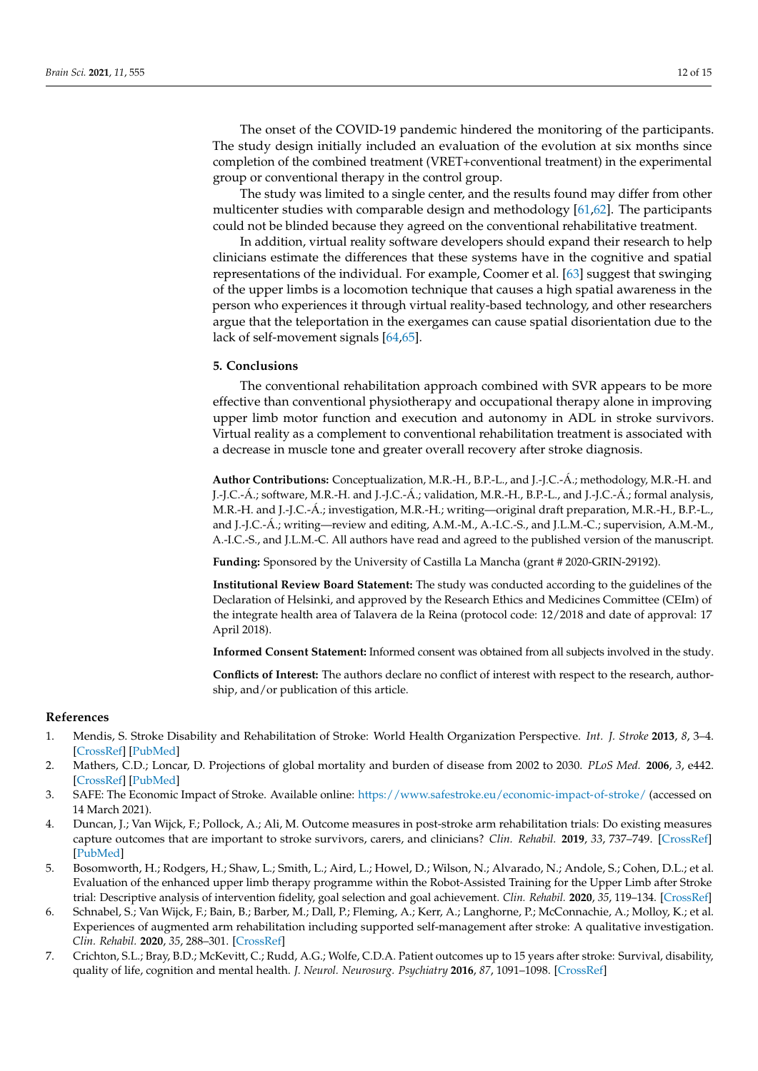The onset of the COVID-19 pandemic hindered the monitoring of the participants. The study design initially included an evaluation of the evolution at six months since completion of the combined treatment (VRET+conventional treatment) in the experimental group or conventional therapy in the control group.

The study was limited to a single center, and the results found may differ from other multicenter studies with comparable design and methodology [\[61](#page-14-4)[,62\]](#page-14-5). The participants could not be blinded because they agreed on the conventional rehabilitative treatment.

In addition, virtual reality software developers should expand their research to help clinicians estimate the differences that these systems have in the cognitive and spatial representations of the individual. For example, Coomer et al. [\[63\]](#page-14-6) suggest that swinging of the upper limbs is a locomotion technique that causes a high spatial awareness in the person who experiences it through virtual reality-based technology, and other researchers argue that the teleportation in the exergames can cause spatial disorientation due to the lack of self-movement signals [\[64](#page-14-7)[,65\]](#page-14-8).

#### **5. Conclusions**

The conventional rehabilitation approach combined with SVR appears to be more effective than conventional physiotherapy and occupational therapy alone in improving upper limb motor function and execution and autonomy in ADL in stroke survivors. Virtual reality as a complement to conventional rehabilitation treatment is associated with a decrease in muscle tone and greater overall recovery after stroke diagnosis.

**Author Contributions:** Conceptualization, M.R.-H., B.P.-L., and J.-J.C.-Á.; methodology, M.R.-H. and J.-J.C.-Á.; software, M.R.-H. and J.-J.C.-Á.; validation, M.R.-H., B.P.-L., and J.-J.C.-Á.; formal analysis, M.R.-H. and J.-J.C.-Á.; investigation, M.R.-H.; writing—original draft preparation, M.R.-H., B.P.-L., and J.-J.C.-Á.; writing—review and editing, A.M.-M., A.-I.C.-S., and J.L.M.-C.; supervision, A.M.-M., A.-I.C.-S., and J.L.M.-C. All authors have read and agreed to the published version of the manuscript.

**Funding:** Sponsored by the University of Castilla La Mancha (grant # 2020-GRIN-29192).

**Institutional Review Board Statement:** The study was conducted according to the guidelines of the Declaration of Helsinki, and approved by the Research Ethics and Medicines Committee (CEIm) of the integrate health area of Talavera de la Reina (protocol code: 12/2018 and date of approval: 17 April 2018).

**Informed Consent Statement:** Informed consent was obtained from all subjects involved in the study.

**Conflicts of Interest:** The authors declare no conflict of interest with respect to the research, authorship, and/or publication of this article.

# **References**

- <span id="page-11-0"></span>1. Mendis, S. Stroke Disability and Rehabilitation of Stroke: World Health Organization Perspective. *Int. J. Stroke* **2013**, *8*, 3–4. [\[CrossRef\]](http://doi.org/10.1111/j.1747-4949.2012.00969.x) [\[PubMed\]](http://www.ncbi.nlm.nih.gov/pubmed/23280261)
- <span id="page-11-1"></span>2. Mathers, C.D.; Loncar, D. Projections of global mortality and burden of disease from 2002 to 2030. *PLoS Med.* **2006**, *3*, e442. [\[CrossRef\]](http://doi.org/10.1371/journal.pmed.0030442) [\[PubMed\]](http://www.ncbi.nlm.nih.gov/pubmed/17132052)
- <span id="page-11-2"></span>3. SAFE: The Economic Impact of Stroke. Available online: <https://www.safestroke.eu/economic-impact-of-stroke/> (accessed on 14 March 2021).
- <span id="page-11-3"></span>4. Duncan, J.; Van Wijck, F.; Pollock, A.; Ali, M. Outcome measures in post-stroke arm rehabilitation trials: Do existing measures capture outcomes that are important to stroke survivors, carers, and clinicians? *Clin. Rehabil.* **2019**, *33*, 737–749. [\[CrossRef\]](http://doi.org/10.1177/0269215518823248) [\[PubMed\]](http://www.ncbi.nlm.nih.gov/pubmed/30646750)
- 5. Bosomworth, H.; Rodgers, H.; Shaw, L.; Smith, L.; Aird, L.; Howel, D.; Wilson, N.; Alvarado, N.; Andole, S.; Cohen, D.L.; et al. Evaluation of the enhanced upper limb therapy programme within the Robot-Assisted Training for the Upper Limb after Stroke trial: Descriptive analysis of intervention fidelity, goal selection and goal achievement. *Clin. Rehabil.* **2020**, *35*, 119–134. [\[CrossRef\]](http://doi.org/10.1177/0269215520953833)
- <span id="page-11-4"></span>6. Schnabel, S.; Van Wijck, F.; Bain, B.; Barber, M.; Dall, P.; Fleming, A.; Kerr, A.; Langhorne, P.; McConnachie, A.; Molloy, K.; et al. Experiences of augmented arm rehabilitation including supported self-management after stroke: A qualitative investigation. *Clin. Rehabil.* **2020**, *35*, 288–301. [\[CrossRef\]](http://doi.org/10.1177/0269215520956388)
- <span id="page-11-5"></span>7. Crichton, S.L.; Bray, B.D.; McKevitt, C.; Rudd, A.G.; Wolfe, C.D.A. Patient outcomes up to 15 years after stroke: Survival, disability, quality of life, cognition and mental health. *J. Neurol. Neurosurg. Psychiatry* **2016**, *87*, 1091–1098. [\[CrossRef\]](http://doi.org/10.1136/jnnp-2016-313361)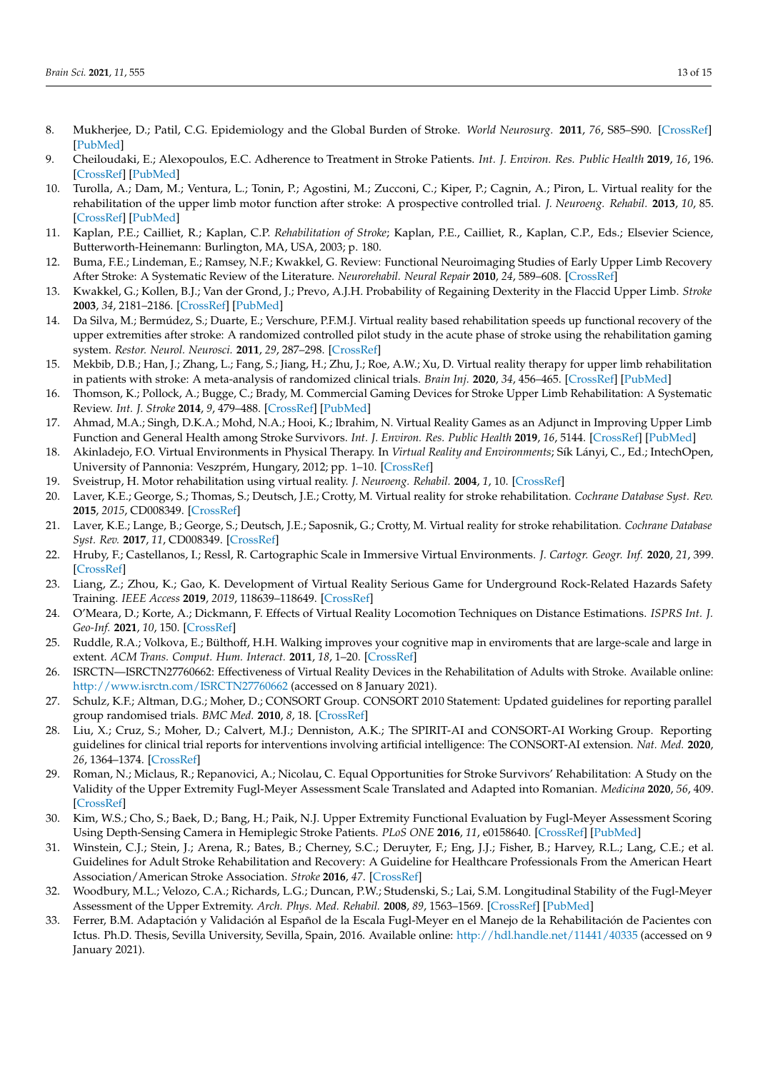- <span id="page-12-0"></span>8. Mukherjee, D.; Patil, C.G. Epidemiology and the Global Burden of Stroke. *World Neurosurg.* **2011**, *76*, S85–S90. [\[CrossRef\]](http://doi.org/10.1016/j.wneu.2011.07.023) [\[PubMed\]](http://www.ncbi.nlm.nih.gov/pubmed/22182277)
- <span id="page-12-1"></span>9. Cheiloudaki, E.; Alexopoulos, E.C. Adherence to Treatment in Stroke Patients. *Int. J. Environ. Res. Public Health* **2019**, *16*, 196. [\[CrossRef\]](http://doi.org/10.3390/ijerph16020196) [\[PubMed\]](http://www.ncbi.nlm.nih.gov/pubmed/30641978)
- <span id="page-12-2"></span>10. Turolla, A.; Dam, M.; Ventura, L.; Tonin, P.; Agostini, M.; Zucconi, C.; Kiper, P.; Cagnin, A.; Piron, L. Virtual reality for the rehabilitation of the upper limb motor function after stroke: A prospective controlled trial. *J. Neuroeng. Rehabil.* **2013**, *10*, 85. [\[CrossRef\]](http://doi.org/10.1186/1743-0003-10-85) [\[PubMed\]](http://www.ncbi.nlm.nih.gov/pubmed/23914733)
- <span id="page-12-3"></span>11. Kaplan, P.E.; Cailliet, R.; Kaplan, C.P. *Rehabilitation of Stroke*; Kaplan, P.E., Cailliet, R., Kaplan, C.P., Eds.; Elsevier Science, Butterworth-Heinemann: Burlington, MA, USA, 2003; p. 180.
- <span id="page-12-4"></span>12. Buma, F.E.; Lindeman, E.; Ramsey, N.F.; Kwakkel, G. Review: Functional Neuroimaging Studies of Early Upper Limb Recovery After Stroke: A Systematic Review of the Literature. *Neurorehabil. Neural Repair* **2010**, *24*, 589–608. [\[CrossRef\]](http://doi.org/10.1177/1545968310364058)
- <span id="page-12-5"></span>13. Kwakkel, G.; Kollen, B.J.; Van der Grond, J.; Prevo, A.J.H. Probability of Regaining Dexterity in the Flaccid Upper Limb. *Stroke* **2003**, *34*, 2181–2186. [\[CrossRef\]](http://doi.org/10.1161/01.STR.0000087172.16305.CD) [\[PubMed\]](http://www.ncbi.nlm.nih.gov/pubmed/12907818)
- <span id="page-12-6"></span>14. Da Silva, M.; Bermúdez, S.; Duarte, E.; Verschure, P.F.M.J. Virtual reality based rehabilitation speeds up functional recovery of the upper extremities after stroke: A randomized controlled pilot study in the acute phase of stroke using the rehabilitation gaming system. *Restor. Neurol. Neurosci.* **2011**, *29*, 287–298. [\[CrossRef\]](http://doi.org/10.3233/RNN-2011-0599)
- <span id="page-12-7"></span>15. Mekbib, D.B.; Han, J.; Zhang, L.; Fang, S.; Jiang, H.; Zhu, J.; Roe, A.W.; Xu, D. Virtual reality therapy for upper limb rehabilitation in patients with stroke: A meta-analysis of randomized clinical trials. *Brain Inj.* **2020**, *34*, 456–465. [\[CrossRef\]](http://doi.org/10.1080/02699052.2020.1725126) [\[PubMed\]](http://www.ncbi.nlm.nih.gov/pubmed/32064964)
- <span id="page-12-8"></span>16. Thomson, K.; Pollock, A.; Bugge, C.; Brady, M. Commercial Gaming Devices for Stroke Upper Limb Rehabilitation: A Systematic Review. *Int. J. Stroke* **2014**, *9*, 479–488. [\[CrossRef\]](http://doi.org/10.1111/ijs.12263) [\[PubMed\]](http://www.ncbi.nlm.nih.gov/pubmed/24661797)
- <span id="page-12-9"></span>17. Ahmad, M.A.; Singh, D.K.A.; Mohd, N.A.; Hooi, K.; Ibrahim, N. Virtual Reality Games as an Adjunct in Improving Upper Limb Function and General Health among Stroke Survivors. *Int. J. Environ. Res. Public Health* **2019**, *16*, 5144. [\[CrossRef\]](http://doi.org/10.3390/ijerph16245144) [\[PubMed\]](http://www.ncbi.nlm.nih.gov/pubmed/31888293)
- <span id="page-12-10"></span>18. Akinladejo, F.O. Virtual Environments in Physical Therapy. In *Virtual Reality and Environments*; Sík Lányi, C., Ed.; IntechOpen, University of Pannonia: Veszprém, Hungary, 2012; pp. 1–10. [\[CrossRef\]](http://doi.org/10.5772/37132)
- <span id="page-12-11"></span>19. Sveistrup, H. Motor rehabilitation using virtual reality. *J. Neuroeng. Rehabil.* **2004**, *1*, 10. [\[CrossRef\]](http://doi.org/10.1186/1743-0003-1-10)
- <span id="page-12-12"></span>20. Laver, K.E.; George, S.; Thomas, S.; Deutsch, J.E.; Crotty, M. Virtual reality for stroke rehabilitation. *Cochrane Database Syst. Rev.* **2015**, *2015*, CD008349. [\[CrossRef\]](http://doi.org/10.1002/14651858.CD008349.pub3)
- <span id="page-12-13"></span>21. Laver, K.E.; Lange, B.; George, S.; Deutsch, J.E.; Saposnik, G.; Crotty, M. Virtual reality for stroke rehabilitation. *Cochrane Database Syst. Rev.* **2017**, *11*, CD008349. [\[CrossRef\]](http://doi.org/10.1002/14651858.CD008349.pub4)
- <span id="page-12-14"></span>22. Hruby, F.; Castellanos, I.; Ressl, R. Cartographic Scale in Immersive Virtual Environments. *J. Cartogr. Geogr. Inf.* **2020**, *21*, 399. [\[CrossRef\]](http://doi.org/10.1007/s42489-020-00055-y)
- <span id="page-12-15"></span>23. Liang, Z.; Zhou, K.; Gao, K. Development of Virtual Reality Serious Game for Underground Rock-Related Hazards Safety Training. *IEEE Access* **2019**, *2019*, 118639–118649. [\[CrossRef\]](http://doi.org/10.1109/ACCESS.2019.2934990)
- <span id="page-12-16"></span>24. O'Meara, D.; Korte, A.; Dickmann, F. Effects of Virtual Reality Locomotion Techniques on Distance Estimations. *ISPRS Int. J. Geo-Inf.* **2021**, *10*, 150. [\[CrossRef\]](http://doi.org/10.3390/ijgi10030150)
- <span id="page-12-17"></span>25. Ruddle, R.A.; Volkova, E.; Bülthoff, H.H. Walking improves your cognitive map in enviroments that are large-scale and large in extent. *ACM Trans. Comput. Hum. Interact.* **2011**, *18*, 1–20. [\[CrossRef\]](http://doi.org/10.1145/1970378.1970384)
- <span id="page-12-18"></span>26. ISRCTN—ISRCTN27760662: Effectiveness of Virtual Reality Devices in the Rehabilitation of Adults with Stroke. Available online: <http://www.isrctn.com/ISRCTN27760662> (accessed on 8 January 2021).
- <span id="page-12-19"></span>27. Schulz, K.F.; Altman, D.G.; Moher, D.; CONSORT Group. CONSORT 2010 Statement: Updated guidelines for reporting parallel group randomised trials. *BMC Med.* **2010**, *8*, 18. [\[CrossRef\]](http://doi.org/10.1186/1741-7015-8-18)
- <span id="page-12-20"></span>28. Liu, X.; Cruz, S.; Moher, D.; Calvert, M.J.; Denniston, A.K.; The SPIRIT-AI and CONSORT-AI Working Group. Reporting guidelines for clinical trial reports for interventions involving artificial intelligence: The CONSORT-AI extension. *Nat. Med.* **2020**, *26*, 1364–1374. [\[CrossRef\]](http://doi.org/10.1038/s41591-020-1034-x)
- <span id="page-12-21"></span>29. Roman, N.; Miclaus, R.; Repanovici, A.; Nicolau, C. Equal Opportunities for Stroke Survivors' Rehabilitation: A Study on the Validity of the Upper Extremity Fugl-Meyer Assessment Scale Translated and Adapted into Romanian. *Medicina* **2020**, *56*, 409. [\[CrossRef\]](http://doi.org/10.3390/medicina56080409)
- 30. Kim, W.S.; Cho, S.; Baek, D.; Bang, H.; Paik, N.J. Upper Extremity Functional Evaluation by Fugl-Meyer Assessment Scoring Using Depth-Sensing Camera in Hemiplegic Stroke Patients. *PLoS ONE* **2016**, *11*, e0158640. [\[CrossRef\]](http://doi.org/10.1371/journal.pone.0158640) [\[PubMed\]](http://www.ncbi.nlm.nih.gov/pubmed/27367518)
- 31. Winstein, C.J.; Stein, J.; Arena, R.; Bates, B.; Cherney, S.C.; Deruyter, F.; Eng, J.J.; Fisher, B.; Harvey, R.L.; Lang, C.E.; et al. Guidelines for Adult Stroke Rehabilitation and Recovery: A Guideline for Healthcare Professionals From the American Heart Association/American Stroke Association. *Stroke* **2016**, *47*. [\[CrossRef\]](http://doi.org/10.1161/STR.0000000000000098)
- <span id="page-12-22"></span>32. Woodbury, M.L.; Velozo, C.A.; Richards, L.G.; Duncan, P.W.; Studenski, S.; Lai, S.M. Longitudinal Stability of the Fugl-Meyer Assessment of the Upper Extremity. *Arch. Phys. Med. Rehabil.* **2008**, *89*, 1563–1569. [\[CrossRef\]](http://doi.org/10.1016/j.apmr.2007.12.041) [\[PubMed\]](http://www.ncbi.nlm.nih.gov/pubmed/18674991)
- <span id="page-12-23"></span>33. Ferrer, B.M. Adaptación y Validación al Español de la Escala Fugl-Meyer en el Manejo de la Rehabilitación de Pacientes con Ictus. Ph.D. Thesis, Sevilla University, Sevilla, Spain, 2016. Available online: <http://hdl.handle.net/11441/40335> (accessed on 9 January 2021).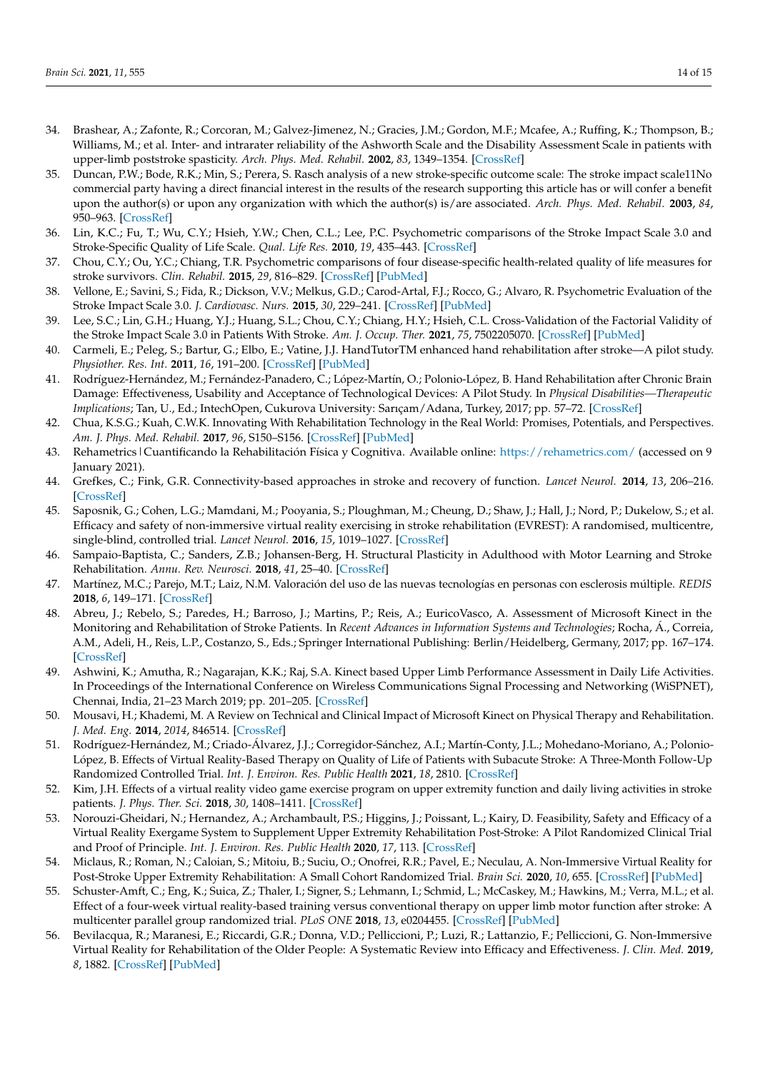- <span id="page-13-0"></span>34. Brashear, A.; Zafonte, R.; Corcoran, M.; Galvez-Jimenez, N.; Gracies, J.M.; Gordon, M.F.; Mcafee, A.; Ruffing, K.; Thompson, B.; Williams, M.; et al. Inter- and intrarater reliability of the Ashworth Scale and the Disability Assessment Scale in patients with upper-limb poststroke spasticity. *Arch. Phys. Med. Rehabil.* **2002**, *83*, 1349–1354. [\[CrossRef\]](http://doi.org/10.1053/apmr.2002.35474)
- <span id="page-13-1"></span>35. Duncan, P.W.; Bode, R.K.; Min, S.; Perera, S. Rasch analysis of a new stroke-specific outcome scale: The stroke impact scale11No commercial party having a direct financial interest in the results of the research supporting this article has or will confer a benefit upon the author(s) or upon any organization with which the author(s) is/are associated. *Arch. Phys. Med. Rehabil.* **2003**, *84*, 950–963. [\[CrossRef\]](http://doi.org/10.1016/S0003-9993(03)00035-2)
- <span id="page-13-2"></span>36. Lin, K.C.; Fu, T.; Wu, C.Y.; Hsieh, Y.W.; Chen, C.L.; Lee, P.C. Psychometric comparisons of the Stroke Impact Scale 3.0 and Stroke-Specific Quality of Life Scale. *Qual. Life Res.* **2010**, *19*, 435–443. [\[CrossRef\]](http://doi.org/10.1007/s11136-010-9597-5)
- 37. Chou, C.Y.; Ou, Y.C.; Chiang, T.R. Psychometric comparisons of four disease-specific health-related quality of life measures for stroke survivors. *Clin. Rehabil.* **2015**, *29*, 816–829. [\[CrossRef\]](http://doi.org/10.1177/0269215514555137) [\[PubMed\]](http://www.ncbi.nlm.nih.gov/pubmed/25352615)
- <span id="page-13-13"></span>38. Vellone, E.; Savini, S.; Fida, R.; Dickson, V.V.; Melkus, G.D.; Carod-Artal, F.J.; Rocco, G.; Alvaro, R. Psychometric Evaluation of the Stroke Impact Scale 3.0. *J. Cardiovasc. Nurs.* **2015**, *30*, 229–241. [\[CrossRef\]](http://doi.org/10.1097/JCN.0000000000000145) [\[PubMed\]](http://www.ncbi.nlm.nih.gov/pubmed/24695074)
- <span id="page-13-3"></span>39. Lee, S.C.; Lin, G.H.; Huang, Y.J.; Huang, S.L.; Chou, C.Y.; Chiang, H.Y.; Hsieh, C.L. Cross-Validation of the Factorial Validity of the Stroke Impact Scale 3.0 in Patients With Stroke. *Am. J. Occup. Ther.* **2021**, *75*, 7502205070. [\[CrossRef\]](http://doi.org/10.5014/ajot.2021.040659) [\[PubMed\]](http://www.ncbi.nlm.nih.gov/pubmed/33657349)
- <span id="page-13-4"></span>40. Carmeli, E.; Peleg, S.; Bartur, G.; Elbo, E.; Vatine, J.J. HandTutorTM enhanced hand rehabilitation after stroke—A pilot study. *Physiother. Res. Int.* **2011**, *16*, 191–200. [\[CrossRef\]](http://doi.org/10.1002/pri.485) [\[PubMed\]](http://www.ncbi.nlm.nih.gov/pubmed/20740477)
- <span id="page-13-5"></span>41. Rodríguez-Hernández, M.; Fernández-Panadero, C.; López-Martín, O.; Polonio-López, B. Hand Rehabilitation after Chronic Brain Damage: Effectiveness, Usability and Acceptance of Technological Devices: A Pilot Study. In *Physical Disabilities—Therapeutic Implications*; Tan, U., Ed.; IntechOpen, Cukurova University: Sarıçam/Adana, Turkey, 2017; pp. 57–72. [\[CrossRef\]](http://doi.org/10.5772/67532)
- <span id="page-13-6"></span>42. Chua, K.S.G.; Kuah, C.W.K. Innovating With Rehabilitation Technology in the Real World: Promises, Potentials, and Perspectives. *Am. J. Phys. Med. Rehabil.* **2017**, *96*, S150–S156. [\[CrossRef\]](http://doi.org/10.1097/PHM.0000000000000799) [\[PubMed\]](http://www.ncbi.nlm.nih.gov/pubmed/28708632)
- <span id="page-13-7"></span>43. Rehametrics | Cuantificando la Rehabilitación Física y Cognitiva. Available online: <https://rehametrics.com/> (accessed on 9 January 2021).
- <span id="page-13-8"></span>44. Grefkes, C.; Fink, G.R. Connectivity-based approaches in stroke and recovery of function. *Lancet Neurol.* **2014**, *13*, 206–216. [\[CrossRef\]](http://doi.org/10.1016/S1474-4422(13)70264-3)
- 45. Saposnik, G.; Cohen, L.G.; Mamdani, M.; Pooyania, S.; Ploughman, M.; Cheung, D.; Shaw, J.; Hall, J.; Nord, P.; Dukelow, S.; et al. Efficacy and safety of non-immersive virtual reality exercising in stroke rehabilitation (EVREST): A randomised, multicentre, single-blind, controlled trial. *Lancet Neurol.* **2016**, *15*, 1019–1027. [\[CrossRef\]](http://doi.org/10.1016/S1474-4422(16)30121-1)
- <span id="page-13-9"></span>46. Sampaio-Baptista, C.; Sanders, Z.B.; Johansen-Berg, H. Structural Plasticity in Adulthood with Motor Learning and Stroke Rehabilitation. *Annu. Rev. Neurosci.* **2018**, *41*, 25–40. [\[CrossRef\]](http://doi.org/10.1146/annurev-neuro-080317-062015)
- <span id="page-13-10"></span>47. Martínez, M.C.; Parejo, M.T.; Laiz, N.M. Valoración del uso de las nuevas tecnologías en personas con esclerosis múltiple. *REDIS* **2018**, *6*, 149–171. [\[CrossRef\]](http://doi.org/10.5569/2340-5104.06.02.08)
- 48. Abreu, J.; Rebelo, S.; Paredes, H.; Barroso, J.; Martins, P.; Reis, A.; EuricoVasco, A. Assessment of Microsoft Kinect in the Monitoring and Rehabilitation of Stroke Patients. In *Recent Advances in Information Systems and Technologies*; Rocha, Á., Correia, A.M., Adeli, H., Reis, L.P., Costanzo, S., Eds.; Springer International Publishing: Berlin/Heidelberg, Germany, 2017; pp. 167–174. [\[CrossRef\]](http://doi.org/10.1007/978-3-319-56538-5_18)
- 49. Ashwini, K.; Amutha, R.; Nagarajan, K.K.; Raj, S.A. Kinect based Upper Limb Performance Assessment in Daily Life Activities. In Proceedings of the International Conference on Wireless Communications Signal Processing and Networking (WiSPNET), Chennai, India, 21–23 March 2019; pp. 201–205. [\[CrossRef\]](http://doi.org/10.1109/WiSPNET45539.2019.9032717)
- <span id="page-13-11"></span>50. Mousavi, H.; Khademi, M. A Review on Technical and Clinical Impact of Microsoft Kinect on Physical Therapy and Rehabilitation. *J. Med. Eng.* **2014**, *2014*, 846514. [\[CrossRef\]](http://doi.org/10.1155/2014/846514)
- <span id="page-13-12"></span>51. Rodríguez-Hernández, M.; Criado-Álvarez, J.J.; Corregidor-Sánchez, A.I.; Martín-Conty, J.L.; Mohedano-Moriano, A.; Polonio-López, B. Effects of Virtual Reality-Based Therapy on Quality of Life of Patients with Subacute Stroke: A Three-Month Follow-Up Randomized Controlled Trial. *Int. J. Environ. Res. Public Health* **2021**, *18*, 2810. [\[CrossRef\]](http://doi.org/10.3390/ijerph18062810)
- <span id="page-13-14"></span>52. Kim, J.H. Effects of a virtual reality video game exercise program on upper extremity function and daily living activities in stroke patients. *J. Phys. Ther. Sci.* **2018**, *30*, 1408–1411. [\[CrossRef\]](http://doi.org/10.1589/jpts.30.1408)
- <span id="page-13-15"></span>53. Norouzi-Gheidari, N.; Hernandez, A.; Archambault, P.S.; Higgins, J.; Poissant, L.; Kairy, D. Feasibility, Safety and Efficacy of a Virtual Reality Exergame System to Supplement Upper Extremity Rehabilitation Post-Stroke: A Pilot Randomized Clinical Trial and Proof of Principle. *Int. J. Environ. Res. Public Health* **2020**, *17*, 113. [\[CrossRef\]](http://doi.org/10.3390/ijerph17010113)
- <span id="page-13-16"></span>54. Miclaus, R.; Roman, N.; Caloian, S.; Mitoiu, B.; Suciu, O.; Onofrei, R.R.; Pavel, E.; Neculau, A. Non-Immersive Virtual Reality for Post-Stroke Upper Extremity Rehabilitation: A Small Cohort Randomized Trial. *Brain Sci.* **2020**, *10*, 655. [\[CrossRef\]](http://doi.org/10.3390/brainsci10090655) [\[PubMed\]](http://www.ncbi.nlm.nih.gov/pubmed/32967160)
- <span id="page-13-17"></span>55. Schuster-Amft, C.; Eng, K.; Suica, Z.; Thaler, I.; Signer, S.; Lehmann, I.; Schmid, L.; McCaskey, M.; Hawkins, M.; Verra, M.L.; et al. Effect of a four-week virtual reality-based training versus conventional therapy on upper limb motor function after stroke: A multicenter parallel group randomized trial. *PLoS ONE* **2018**, *13*, e0204455. [\[CrossRef\]](http://doi.org/10.1371/journal.pone.0204455) [\[PubMed\]](http://www.ncbi.nlm.nih.gov/pubmed/30356229)
- <span id="page-13-18"></span>56. Bevilacqua, R.; Maranesi, E.; Riccardi, G.R.; Donna, V.D.; Pelliccioni, P.; Luzi, R.; Lattanzio, F.; Pelliccioni, G. Non-Immersive Virtual Reality for Rehabilitation of the Older People: A Systematic Review into Efficacy and Effectiveness. *J. Clin. Med.* **2019**, *8*, 1882. [\[CrossRef\]](http://doi.org/10.3390/jcm8111882) [\[PubMed\]](http://www.ncbi.nlm.nih.gov/pubmed/31694337)